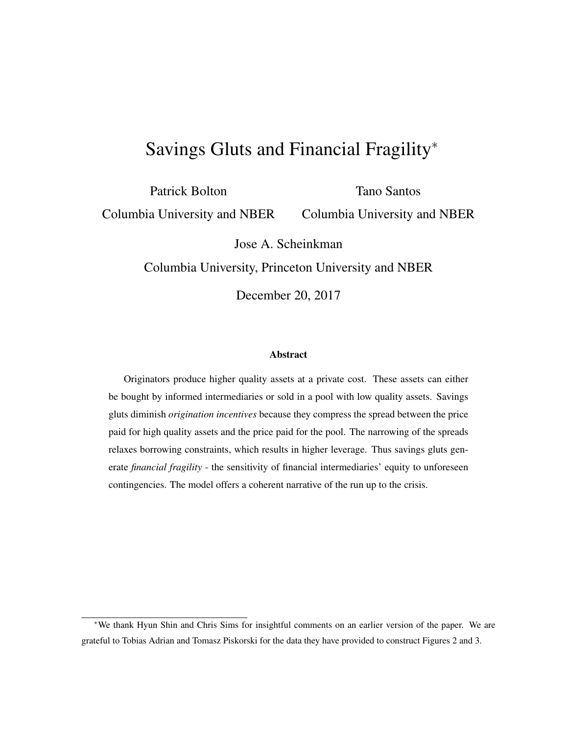# Savings Gluts and Financial Fragility<sup>∗</sup>

Patrick Bolton Columbia University and NBER Tano Santos

Columbia University and NBER

Jose A. Scheinkman

Columbia University, Princeton University and NBER

December 20, 2017

#### Abstract

Originators produce higher quality assets at a private cost. These assets can either be bought by informed intermediaries or sold in a pool with low quality assets. Savings gluts diminish *origination incentives* because they compress the spread between the price paid for high quality assets and the price paid for the pool. The narrowing of the spreads relaxes borrowing constraints, which results in higher leverage. Thus savings gluts generate *financial fragility* - the sensitivity of financial intermediaries' equity to unforeseen contingencies. The model offers a coherent narrative of the run up to the crisis.

<sup>∗</sup>We thank Hyun Shin and Chris Sims for insightful comments on an earlier version of the paper. We are grateful to Tobias Adrian and Tomasz Piskorski for the data they have provided to construct Figures 2 and 3.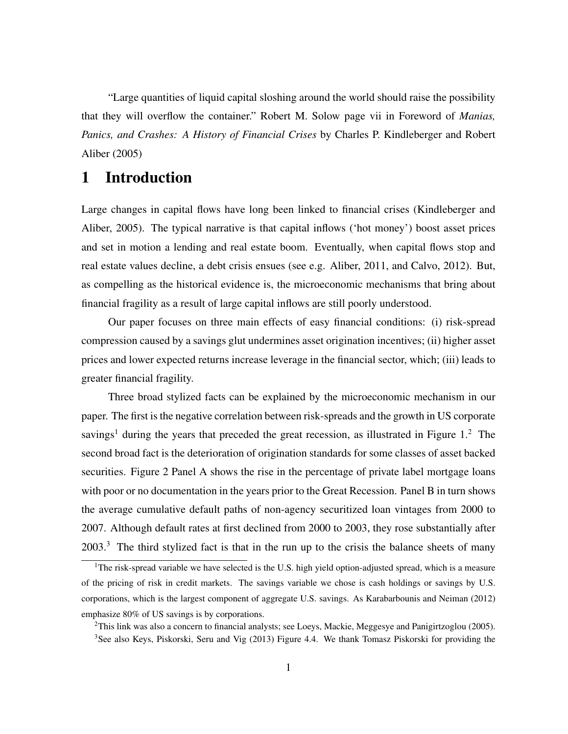"Large quantities of liquid capital sloshing around the world should raise the possibility that they will overflow the container." Robert M. Solow page vii in Foreword of *Manias, Panics, and Crashes: A History of Financial Crises* by Charles P. Kindleberger and Robert Aliber (2005)

## 1 Introduction

Large changes in capital flows have long been linked to financial crises (Kindleberger and Aliber, 2005). The typical narrative is that capital inflows ('hot money') boost asset prices and set in motion a lending and real estate boom. Eventually, when capital flows stop and real estate values decline, a debt crisis ensues (see e.g. Aliber, 2011, and Calvo, 2012). But, as compelling as the historical evidence is, the microeconomic mechanisms that bring about financial fragility as a result of large capital inflows are still poorly understood.

Our paper focuses on three main effects of easy financial conditions: (i) risk-spread compression caused by a savings glut undermines asset origination incentives; (ii) higher asset prices and lower expected returns increase leverage in the financial sector, which; (iii) leads to greater financial fragility.

Three broad stylized facts can be explained by the microeconomic mechanism in our paper. The first is the negative correlation between risk-spreads and the growth in US corporate savings<sup>1</sup> during the years that preceded the great recession, as illustrated in Figure 1.<sup>2</sup> The second broad fact is the deterioration of origination standards for some classes of asset backed securities. Figure 2 Panel A shows the rise in the percentage of private label mortgage loans with poor or no documentation in the years prior to the Great Recession. Panel B in turn shows the average cumulative default paths of non-agency securitized loan vintages from 2000 to 2007. Although default rates at first declined from 2000 to 2003, they rose substantially after 2003.<sup>3</sup> The third stylized fact is that in the run up to the crisis the balance sheets of many

<sup>&</sup>lt;sup>1</sup>The risk-spread variable we have selected is the U.S. high yield option-adjusted spread, which is a measure of the pricing of risk in credit markets. The savings variable we chose is cash holdings or savings by U.S. corporations, which is the largest component of aggregate U.S. savings. As Karabarbounis and Neiman (2012) emphasize 80% of US savings is by corporations.

<sup>&</sup>lt;sup>2</sup>This link was also a concern to financial analysts; see Loeys, Mackie, Meggesye and Panigirtzoglou (2005). <sup>3</sup>See also Keys, Piskorski, Seru and Vig (2013) Figure 4.4. We thank Tomasz Piskorski for providing the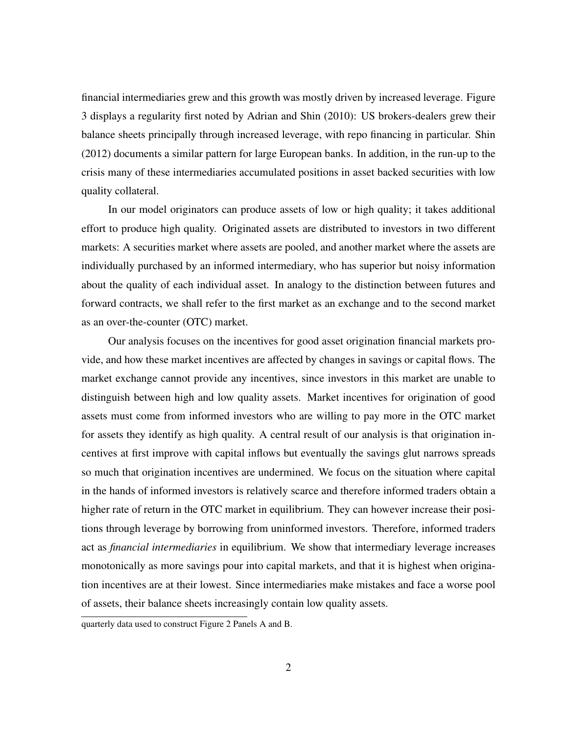financial intermediaries grew and this growth was mostly driven by increased leverage. Figure 3 displays a regularity first noted by Adrian and Shin (2010): US brokers-dealers grew their balance sheets principally through increased leverage, with repo financing in particular. Shin (2012) documents a similar pattern for large European banks. In addition, in the run-up to the crisis many of these intermediaries accumulated positions in asset backed securities with low quality collateral.

In our model originators can produce assets of low or high quality; it takes additional effort to produce high quality. Originated assets are distributed to investors in two different markets: A securities market where assets are pooled, and another market where the assets are individually purchased by an informed intermediary, who has superior but noisy information about the quality of each individual asset. In analogy to the distinction between futures and forward contracts, we shall refer to the first market as an exchange and to the second market as an over-the-counter (OTC) market.

Our analysis focuses on the incentives for good asset origination financial markets provide, and how these market incentives are affected by changes in savings or capital flows. The market exchange cannot provide any incentives, since investors in this market are unable to distinguish between high and low quality assets. Market incentives for origination of good assets must come from informed investors who are willing to pay more in the OTC market for assets they identify as high quality. A central result of our analysis is that origination incentives at first improve with capital inflows but eventually the savings glut narrows spreads so much that origination incentives are undermined. We focus on the situation where capital in the hands of informed investors is relatively scarce and therefore informed traders obtain a higher rate of return in the OTC market in equilibrium. They can however increase their positions through leverage by borrowing from uninformed investors. Therefore, informed traders act as *financial intermediaries* in equilibrium. We show that intermediary leverage increases monotonically as more savings pour into capital markets, and that it is highest when origination incentives are at their lowest. Since intermediaries make mistakes and face a worse pool of assets, their balance sheets increasingly contain low quality assets.

quarterly data used to construct Figure 2 Panels A and B.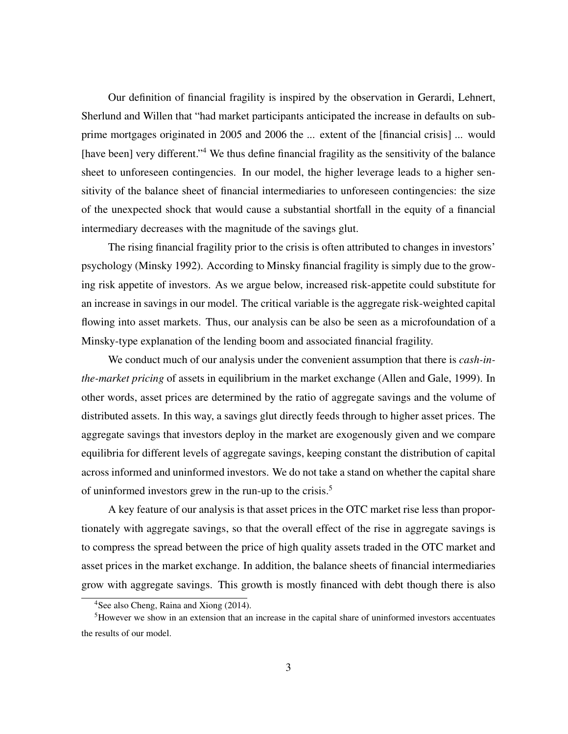Our definition of financial fragility is inspired by the observation in Gerardi, Lehnert, Sherlund and Willen that "had market participants anticipated the increase in defaults on subprime mortgages originated in 2005 and 2006 the ... extent of the [financial crisis] ... would [have been] very different."<sup>4</sup> We thus define financial fragility as the sensitivity of the balance sheet to unforeseen contingencies. In our model, the higher leverage leads to a higher sensitivity of the balance sheet of financial intermediaries to unforeseen contingencies: the size of the unexpected shock that would cause a substantial shortfall in the equity of a financial intermediary decreases with the magnitude of the savings glut.

The rising financial fragility prior to the crisis is often attributed to changes in investors' psychology (Minsky 1992). According to Minsky financial fragility is simply due to the growing risk appetite of investors. As we argue below, increased risk-appetite could substitute for an increase in savings in our model. The critical variable is the aggregate risk-weighted capital flowing into asset markets. Thus, our analysis can be also be seen as a microfoundation of a Minsky-type explanation of the lending boom and associated financial fragility.

We conduct much of our analysis under the convenient assumption that there is *cash-inthe-market pricing* of assets in equilibrium in the market exchange (Allen and Gale, 1999). In other words, asset prices are determined by the ratio of aggregate savings and the volume of distributed assets. In this way, a savings glut directly feeds through to higher asset prices. The aggregate savings that investors deploy in the market are exogenously given and we compare equilibria for different levels of aggregate savings, keeping constant the distribution of capital across informed and uninformed investors. We do not take a stand on whether the capital share of uninformed investors grew in the run-up to the crisis.<sup>5</sup>

A key feature of our analysis is that asset prices in the OTC market rise less than proportionately with aggregate savings, so that the overall effect of the rise in aggregate savings is to compress the spread between the price of high quality assets traded in the OTC market and asset prices in the market exchange. In addition, the balance sheets of financial intermediaries grow with aggregate savings. This growth is mostly financed with debt though there is also

<sup>4</sup>See also Cheng, Raina and Xiong (2014).

<sup>&</sup>lt;sup>5</sup>However we show in an extension that an increase in the capital share of uninformed investors accentuates the results of our model.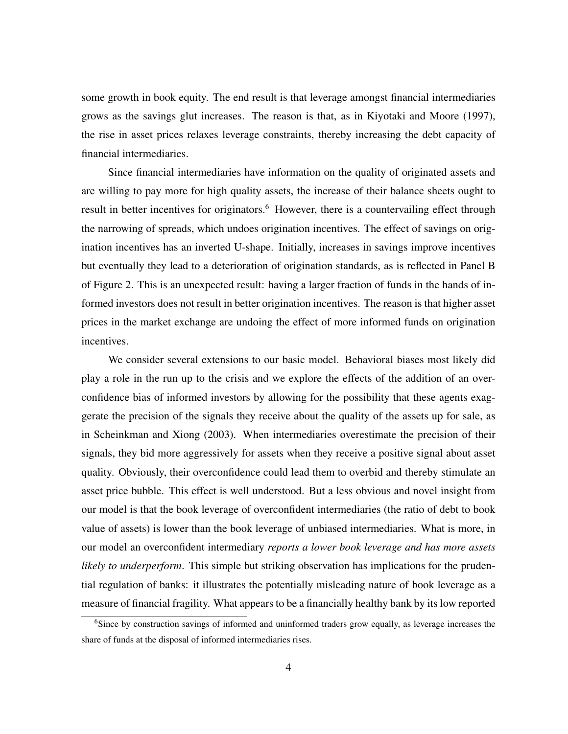some growth in book equity. The end result is that leverage amongst financial intermediaries grows as the savings glut increases. The reason is that, as in Kiyotaki and Moore (1997), the rise in asset prices relaxes leverage constraints, thereby increasing the debt capacity of financial intermediaries.

Since financial intermediaries have information on the quality of originated assets and are willing to pay more for high quality assets, the increase of their balance sheets ought to result in better incentives for originators.<sup>6</sup> However, there is a countervailing effect through the narrowing of spreads, which undoes origination incentives. The effect of savings on origination incentives has an inverted U-shape. Initially, increases in savings improve incentives but eventually they lead to a deterioration of origination standards, as is reflected in Panel B of Figure 2. This is an unexpected result: having a larger fraction of funds in the hands of informed investors does not result in better origination incentives. The reason is that higher asset prices in the market exchange are undoing the effect of more informed funds on origination incentives.

We consider several extensions to our basic model. Behavioral biases most likely did play a role in the run up to the crisis and we explore the effects of the addition of an overconfidence bias of informed investors by allowing for the possibility that these agents exaggerate the precision of the signals they receive about the quality of the assets up for sale, as in Scheinkman and Xiong (2003). When intermediaries overestimate the precision of their signals, they bid more aggressively for assets when they receive a positive signal about asset quality. Obviously, their overconfidence could lead them to overbid and thereby stimulate an asset price bubble. This effect is well understood. But a less obvious and novel insight from our model is that the book leverage of overconfident intermediaries (the ratio of debt to book value of assets) is lower than the book leverage of unbiased intermediaries. What is more, in our model an overconfident intermediary *reports a lower book leverage and has more assets likely to underperform*. This simple but striking observation has implications for the prudential regulation of banks: it illustrates the potentially misleading nature of book leverage as a measure of financial fragility. What appears to be a financially healthy bank by its low reported

<sup>&</sup>lt;sup>6</sup>Since by construction savings of informed and uninformed traders grow equally, as leverage increases the share of funds at the disposal of informed intermediaries rises.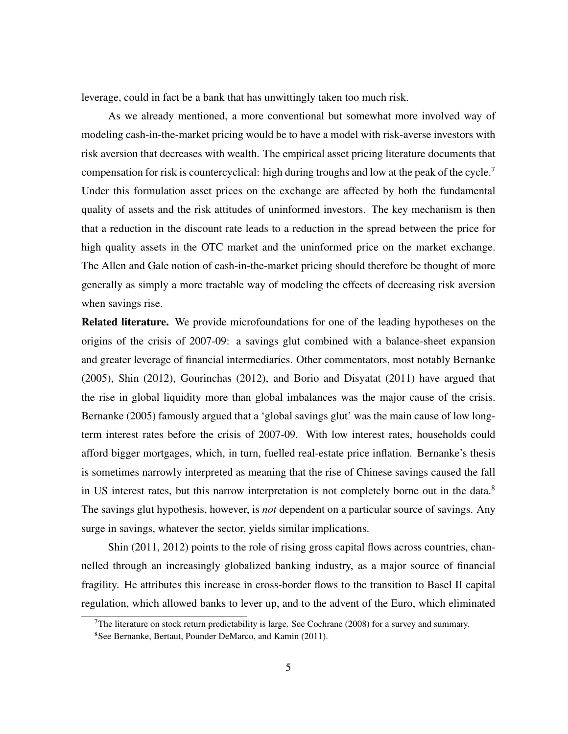leverage, could in fact be a bank that has unwittingly taken too much risk.

As we already mentioned, a more conventional but somewhat more involved way of modeling cash-in-the-market pricing would be to have a model with risk-averse investors with risk aversion that decreases with wealth. The empirical asset pricing literature documents that compensation for risk is countercyclical: high during troughs and low at the peak of the cycle.<sup>7</sup> Under this formulation asset prices on the exchange are affected by both the fundamental quality of assets and the risk attitudes of uninformed investors. The key mechanism is then that a reduction in the discount rate leads to a reduction in the spread between the price for high quality assets in the OTC market and the uninformed price on the market exchange. The Allen and Gale notion of cash-in-the-market pricing should therefore be thought of more generally as simply a more tractable way of modeling the effects of decreasing risk aversion when savings rise.

**Related literature.** We provide microfoundations for one of the leading hypotheses on the origins of the crisis of 2007-09: a savings glut combined with a balance-sheet expansion and greater leverage of financial intermediaries. Other commentators, most notably Bernanke (2005), Shin (2012), Gourinchas (2012), and Borio and Disyatat (2011) have argued that the rise in global liquidity more than global imbalances was the major cause of the crisis. Bernanke (2005) famously argued that a 'global savings glut' was the main cause of low longterm interest rates before the crisis of 2007-09. With low interest rates, households could afford bigger mortgages, which, in turn, fuelled real-estate price inflation. Bernanke's thesis is sometimes narrowly interpreted as meaning that the rise of Chinese savings caused the fall in US interest rates, but this narrow interpretation is not completely borne out in the data. $8$ The savings glut hypothesis, however, is *not* dependent on a particular source of savings. Any surge in savings, whatever the sector, yields similar implications.

Shin (2011, 2012) points to the role of rising gross capital flows across countries, channelled through an increasingly globalized banking industry, as a major source of financial fragility. He attributes this increase in cross-border flows to the transition to Basel II capital regulation, which allowed banks to lever up, and to the advent of the Euro, which eliminated

<sup>&</sup>lt;sup>7</sup>The literature on stock return predictability is large. See Cochrane (2008) for a survey and summary. <sup>8</sup>See Bernanke, Bertaut, Pounder DeMarco, and Kamin (2011).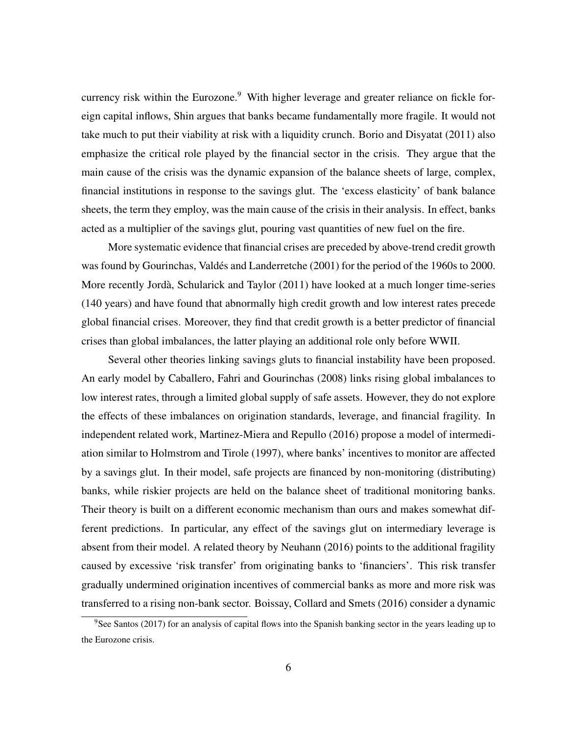currency risk within the Eurozone.<sup>9</sup> With higher leverage and greater reliance on fickle foreign capital inflows, Shin argues that banks became fundamentally more fragile. It would not take much to put their viability at risk with a liquidity crunch. Borio and Disyatat (2011) also emphasize the critical role played by the financial sector in the crisis. They argue that the main cause of the crisis was the dynamic expansion of the balance sheets of large, complex, financial institutions in response to the savings glut. The 'excess elasticity' of bank balance sheets, the term they employ, was the main cause of the crisis in their analysis. In effect, banks acted as a multiplier of the savings glut, pouring vast quantities of new fuel on the fire.

More systematic evidence that financial crises are preceded by above-trend credit growth was found by Gourinchas, Valdés and Landerretche (2001) for the period of the 1960s to 2000. More recently Jordà, Schularick and Taylor (2011) have looked at a much longer time-series (140 years) and have found that abnormally high credit growth and low interest rates precede global financial crises. Moreover, they find that credit growth is a better predictor of financial crises than global imbalances, the latter playing an additional role only before WWII.

Several other theories linking savings gluts to financial instability have been proposed. An early model by Caballero, Fahri and Gourinchas (2008) links rising global imbalances to low interest rates, through a limited global supply of safe assets. However, they do not explore the effects of these imbalances on origination standards, leverage, and financial fragility. In independent related work, Martinez-Miera and Repullo (2016) propose a model of intermediation similar to Holmstrom and Tirole (1997), where banks' incentives to monitor are affected by a savings glut. In their model, safe projects are financed by non-monitoring (distributing) banks, while riskier projects are held on the balance sheet of traditional monitoring banks. Their theory is built on a different economic mechanism than ours and makes somewhat different predictions. In particular, any effect of the savings glut on intermediary leverage is absent from their model. A related theory by Neuhann (2016) points to the additional fragility caused by excessive 'risk transfer' from originating banks to 'financiers'. This risk transfer gradually undermined origination incentives of commercial banks as more and more risk was transferred to a rising non-bank sector. Boissay, Collard and Smets (2016) consider a dynamic

<sup>9</sup>See Santos (2017) for an analysis of capital flows into the Spanish banking sector in the years leading up to the Eurozone crisis.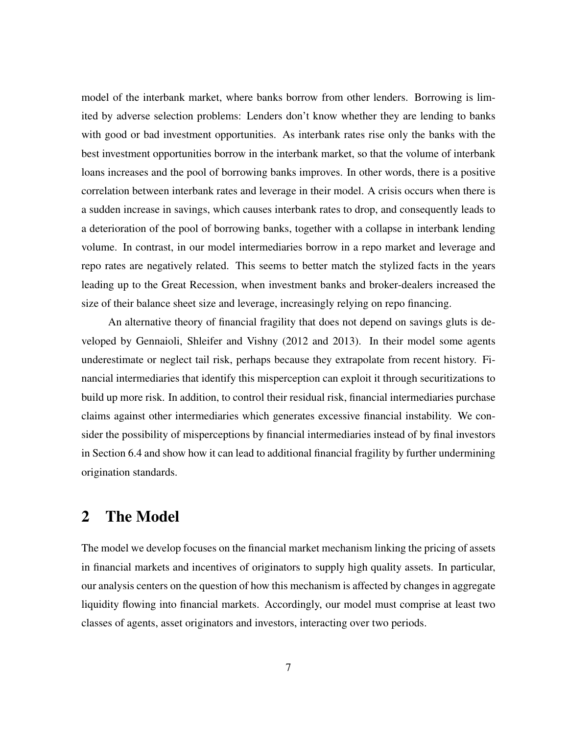model of the interbank market, where banks borrow from other lenders. Borrowing is limited by adverse selection problems: Lenders don't know whether they are lending to banks with good or bad investment opportunities. As interbank rates rise only the banks with the best investment opportunities borrow in the interbank market, so that the volume of interbank loans increases and the pool of borrowing banks improves. In other words, there is a positive correlation between interbank rates and leverage in their model. A crisis occurs when there is a sudden increase in savings, which causes interbank rates to drop, and consequently leads to a deterioration of the pool of borrowing banks, together with a collapse in interbank lending volume. In contrast, in our model intermediaries borrow in a repo market and leverage and repo rates are negatively related. This seems to better match the stylized facts in the years leading up to the Great Recession, when investment banks and broker-dealers increased the size of their balance sheet size and leverage, increasingly relying on repo financing.

An alternative theory of financial fragility that does not depend on savings gluts is developed by Gennaioli, Shleifer and Vishny (2012 and 2013). In their model some agents underestimate or neglect tail risk, perhaps because they extrapolate from recent history. Financial intermediaries that identify this misperception can exploit it through securitizations to build up more risk. In addition, to control their residual risk, financial intermediaries purchase claims against other intermediaries which generates excessive financial instability. We consider the possibility of misperceptions by financial intermediaries instead of by final investors in Section 6.4 and show how it can lead to additional financial fragility by further undermining origination standards.

# 2 The Model

The model we develop focuses on the financial market mechanism linking the pricing of assets in financial markets and incentives of originators to supply high quality assets. In particular, our analysis centers on the question of how this mechanism is affected by changes in aggregate liquidity flowing into financial markets. Accordingly, our model must comprise at least two classes of agents, asset originators and investors, interacting over two periods.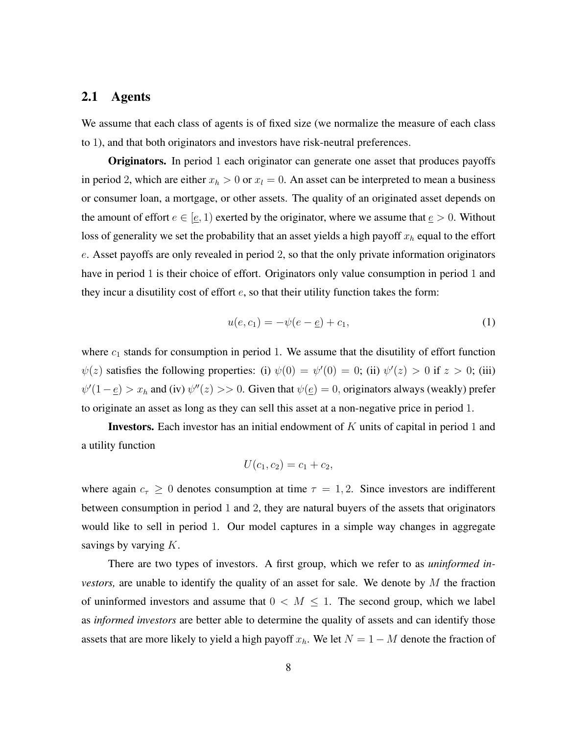## 2.1 Agents

We assume that each class of agents is of fixed size (we normalize the measure of each class to 1), and that both originators and investors have risk-neutral preferences.

**Originators.** In period 1 each originator can generate one asset that produces payoffs in period 2, which are either  $x_h > 0$  or  $x_l = 0$ . An asset can be interpreted to mean a business or consumer loan, a mortgage, or other assets. The quality of an originated asset depends on the amount of effort  $e \in [e, 1)$  exerted by the originator, where we assume that  $e > 0$ . Without loss of generality we set the probability that an asset yields a high payoff  $x_h$  equal to the effort e. Asset payoffs are only revealed in period 2, so that the only private information originators have in period 1 is their choice of effort. Originators only value consumption in period 1 and they incur a disutility cost of effort  $e$ , so that their utility function takes the form:

$$
u(e, c_1) = -\psi(e - \underline{e}) + c_1,\tag{1}
$$

where  $c_1$  stands for consumption in period 1. We assume that the disutility of effort function  $\psi(z)$  satisfies the following properties: (i)  $\psi(0) = \psi'(0) = 0$ ; (ii)  $\psi'(z) > 0$  if  $z > 0$ ; (iii)  $\psi'(1-\underline{e}) > x_h$  and (iv)  $\psi''(z) >> 0$ . Given that  $\psi(\underline{e}) = 0$ , originators always (weakly) prefer to originate an asset as long as they can sell this asset at a non-negative price in period 1.

Investors. Each investor has an initial endowment of K units of capital in period 1 and a utility function

$$
U(c_1, c_2) = c_1 + c_2,
$$

where again  $c_{\tau} \ge 0$  denotes consumption at time  $\tau = 1, 2$ . Since investors are indifferent between consumption in period 1 and 2, they are natural buyers of the assets that originators would like to sell in period 1. Our model captures in a simple way changes in aggregate savings by varying  $K$ .

There are two types of investors. A first group, which we refer to as *uninformed investors,* are unable to identify the quality of an asset for sale. We denote by M the fraction of uninformed investors and assume that  $0 < M \leq 1$ . The second group, which we label as *informed investors* are better able to determine the quality of assets and can identify those assets that are more likely to yield a high payoff  $x_h$ . We let  $N = 1 - M$  denote the fraction of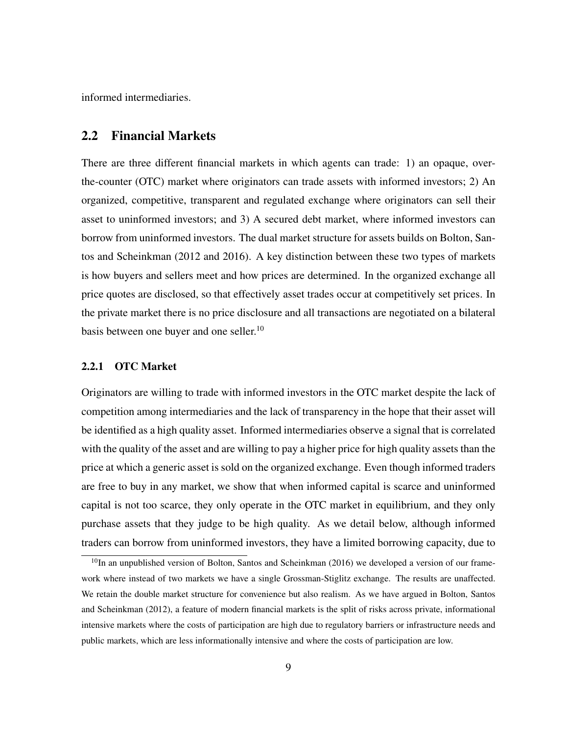informed intermediaries.

## 2.2 Financial Markets

There are three different financial markets in which agents can trade: 1) an opaque, overthe-counter (OTC) market where originators can trade assets with informed investors; 2) An organized, competitive, transparent and regulated exchange where originators can sell their asset to uninformed investors; and 3) A secured debt market, where informed investors can borrow from uninformed investors. The dual market structure for assets builds on Bolton, Santos and Scheinkman (2012 and 2016). A key distinction between these two types of markets is how buyers and sellers meet and how prices are determined. In the organized exchange all price quotes are disclosed, so that effectively asset trades occur at competitively set prices. In the private market there is no price disclosure and all transactions are negotiated on a bilateral basis between one buyer and one seller.<sup>10</sup>

#### 2.2.1 OTC Market

Originators are willing to trade with informed investors in the OTC market despite the lack of competition among intermediaries and the lack of transparency in the hope that their asset will be identified as a high quality asset. Informed intermediaries observe a signal that is correlated with the quality of the asset and are willing to pay a higher price for high quality assets than the price at which a generic asset is sold on the organized exchange. Even though informed traders are free to buy in any market, we show that when informed capital is scarce and uninformed capital is not too scarce, they only operate in the OTC market in equilibrium, and they only purchase assets that they judge to be high quality. As we detail below, although informed traders can borrow from uninformed investors, they have a limited borrowing capacity, due to

 $10$ In an unpublished version of Bolton, Santos and Scheinkman (2016) we developed a version of our framework where instead of two markets we have a single Grossman-Stiglitz exchange. The results are unaffected. We retain the double market structure for convenience but also realism. As we have argued in Bolton, Santos and Scheinkman (2012), a feature of modern financial markets is the split of risks across private, informational intensive markets where the costs of participation are high due to regulatory barriers or infrastructure needs and public markets, which are less informationally intensive and where the costs of participation are low.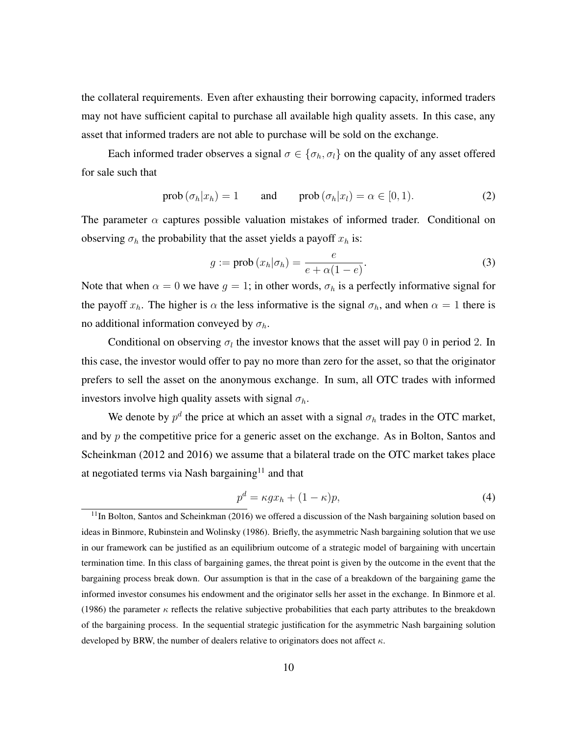the collateral requirements. Even after exhausting their borrowing capacity, informed traders may not have sufficient capital to purchase all available high quality assets. In this case, any asset that informed traders are not able to purchase will be sold on the exchange.

Each informed trader observes a signal  $\sigma \in {\sigma_h, \sigma_l}$  on the quality of any asset offered for sale such that

$$
\text{prob}\left(\sigma_h|x_h\right) = 1 \qquad \text{and} \qquad \text{prob}\left(\sigma_h|x_l\right) = \alpha \in [0, 1). \tag{2}
$$

The parameter  $\alpha$  captures possible valuation mistakes of informed trader. Conditional on observing  $\sigma_h$  the probability that the asset yields a payoff  $x_h$  is:

$$
g := \text{prob}\left(x_h | \sigma_h\right) = \frac{e}{e + \alpha(1 - e)}.\tag{3}
$$

Note that when  $\alpha = 0$  we have  $q = 1$ ; in other words,  $\sigma_h$  is a perfectly informative signal for the payoff  $x_h$ . The higher is  $\alpha$  the less informative is the signal  $\sigma_h$ , and when  $\alpha = 1$  there is no additional information conveyed by  $\sigma_h$ .

Conditional on observing  $\sigma_l$  the investor knows that the asset will pay 0 in period 2. In this case, the investor would offer to pay no more than zero for the asset, so that the originator prefers to sell the asset on the anonymous exchange. In sum, all OTC trades with informed investors involve high quality assets with signal  $\sigma_h$ .

We denote by  $p^d$  the price at which an asset with a signal  $\sigma_h$  trades in the OTC market, and by p the competitive price for a generic asset on the exchange. As in Bolton, Santos and Scheinkman (2012 and 2016) we assume that a bilateral trade on the OTC market takes place at negotiated terms via Nash bargaining<sup>11</sup> and that

$$
p^d = \kappa g x_h + (1 - \kappa)p,\tag{4}
$$

 $11$ In Bolton, Santos and Scheinkman (2016) we offered a discussion of the Nash bargaining solution based on ideas in Binmore, Rubinstein and Wolinsky (1986). Briefly, the asymmetric Nash bargaining solution that we use in our framework can be justified as an equilibrium outcome of a strategic model of bargaining with uncertain termination time. In this class of bargaining games, the threat point is given by the outcome in the event that the bargaining process break down. Our assumption is that in the case of a breakdown of the bargaining game the informed investor consumes his endowment and the originator sells her asset in the exchange. In Binmore et al. (1986) the parameter  $\kappa$  reflects the relative subjective probabilities that each party attributes to the breakdown of the bargaining process. In the sequential strategic justification for the asymmetric Nash bargaining solution developed by BRW, the number of dealers relative to originators does not affect  $\kappa$ .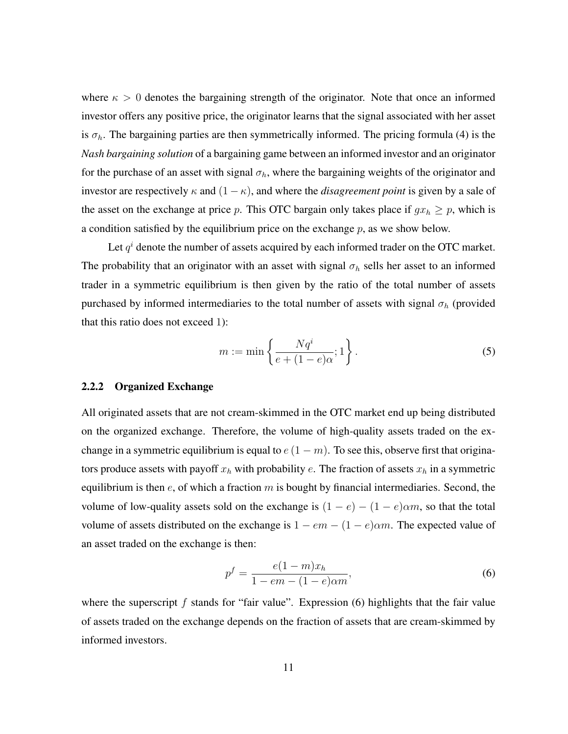where  $\kappa > 0$  denotes the bargaining strength of the originator. Note that once an informed investor offers any positive price, the originator learns that the signal associated with her asset is  $\sigma_h$ . The bargaining parties are then symmetrically informed. The pricing formula (4) is the *Nash bargaining solution* of a bargaining game between an informed investor and an originator for the purchase of an asset with signal  $\sigma_h$ , where the bargaining weights of the originator and investor are respectively  $\kappa$  and  $(1 - \kappa)$ , and where the *disagreement point* is given by a sale of the asset on the exchange at price p. This OTC bargain only takes place if  $gx_h \geq p$ , which is a condition satisfied by the equilibrium price on the exchange  $p$ , as we show below.

Let  $q^i$  denote the number of assets acquired by each informed trader on the OTC market. The probability that an originator with an asset with signal  $\sigma_h$  sells her asset to an informed trader in a symmetric equilibrium is then given by the ratio of the total number of assets purchased by informed intermediaries to the total number of assets with signal  $\sigma_h$  (provided that this ratio does not exceed 1):

$$
m := \min\left\{\frac{Nq^{i}}{e + (1 - e)\alpha}; 1\right\}.
$$
\n(5)

#### 2.2.2 Organized Exchange

All originated assets that are not cream-skimmed in the OTC market end up being distributed on the organized exchange. Therefore, the volume of high-quality assets traded on the exchange in a symmetric equilibrium is equal to  $e(1 - m)$ . To see this, observe first that originators produce assets with payoff  $x_h$  with probability e. The fraction of assets  $x_h$  in a symmetric equilibrium is then  $e$ , of which a fraction m is bought by financial intermediaries. Second, the volume of low-quality assets sold on the exchange is  $(1 - e) - (1 - e)\alpha m$ , so that the total volume of assets distributed on the exchange is  $1 - em - (1 - e)\alpha m$ . The expected value of an asset traded on the exchange is then:

$$
p^{f} = \frac{e(1-m)x_{h}}{1 - em - (1-e)\alpha m},
$$
\n(6)

where the superscript f stands for "fair value". Expression  $(6)$  highlights that the fair value of assets traded on the exchange depends on the fraction of assets that are cream-skimmed by informed investors.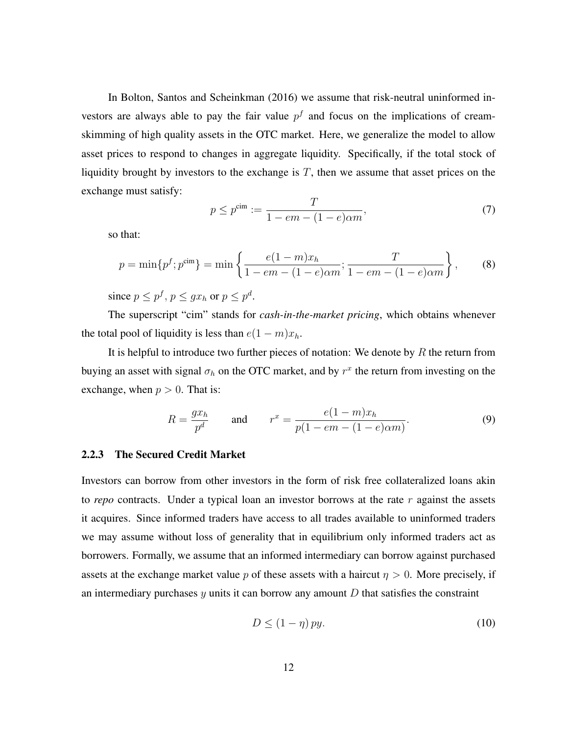In Bolton, Santos and Scheinkman (2016) we assume that risk-neutral uninformed investors are always able to pay the fair value  $p<sup>f</sup>$  and focus on the implications of creamskimming of high quality assets in the OTC market. Here, we generalize the model to allow asset prices to respond to changes in aggregate liquidity. Specifically, if the total stock of liquidity brought by investors to the exchange is  $T$ , then we assume that asset prices on the exchange must satisfy:

$$
p \le p^{\text{cim}} := \frac{T}{1 - em - (1 - e)\alpha m},\tag{7}
$$

so that:

$$
p = \min\{p^f; p^{\text{cim}}\} = \min\left\{\frac{e(1-m)x_h}{1 - em - (1-e)\alpha m}; \frac{T}{1 - em - (1-e)\alpha m}\right\},\tag{8}
$$

since  $p \leq p^f, p \leq gx_h$  or  $p \leq p^d$ .

The superscript "cim" stands for *cash-in-the-market pricing*, which obtains whenever the total pool of liquidity is less than  $e(1 - m)x_h$ .

It is helpful to introduce two further pieces of notation: We denote by  $R$  the return from buying an asset with signal  $\sigma_h$  on the OTC market, and by  $r^x$  the return from investing on the exchange, when  $p > 0$ . That is:

$$
R = \frac{gx_h}{p^d}
$$
 and  $r^x = \frac{e(1-m)x_h}{p(1 - em - (1 - e)\alpha m)}$ . (9)

### 2.2.3 The Secured Credit Market

Investors can borrow from other investors in the form of risk free collateralized loans akin to *repo* contracts. Under a typical loan an investor borrows at the rate r against the assets it acquires. Since informed traders have access to all trades available to uninformed traders we may assume without loss of generality that in equilibrium only informed traders act as borrowers. Formally, we assume that an informed intermediary can borrow against purchased assets at the exchange market value p of these assets with a haircut  $\eta > 0$ . More precisely, if an intermediary purchases  $y$  units it can borrow any amount  $D$  that satisfies the constraint

$$
D \le (1 - \eta) \, py. \tag{10}
$$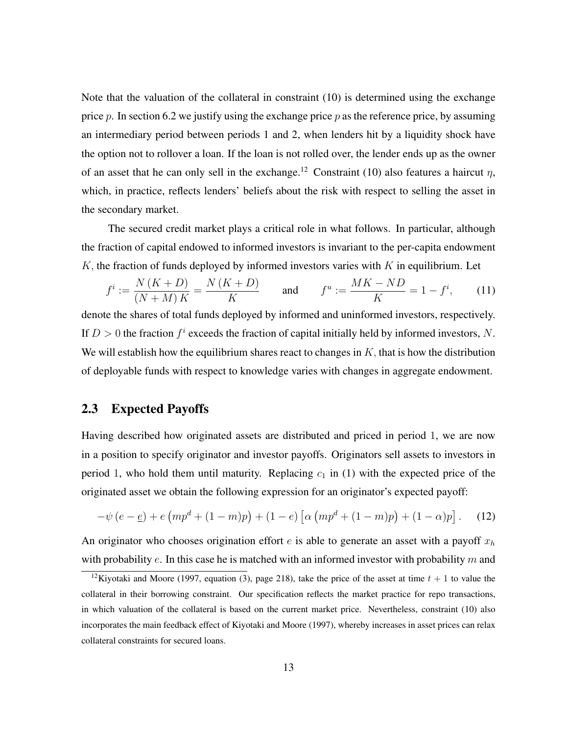Note that the valuation of the collateral in constraint (10) is determined using the exchange price p. In section 6.2 we justify using the exchange price p as the reference price, by assuming an intermediary period between periods 1 and 2, when lenders hit by a liquidity shock have the option not to rollover a loan. If the loan is not rolled over, the lender ends up as the owner of an asset that he can only sell in the exchange.<sup>12</sup> Constraint (10) also features a haircut  $\eta$ , which, in practice, reflects lenders' beliefs about the risk with respect to selling the asset in the secondary market.

The secured credit market plays a critical role in what follows. In particular, although the fraction of capital endowed to informed investors is invariant to the per-capita endowment  $K$ , the fraction of funds deployed by informed investors varies with  $K$  in equilibrium. Let

$$
f^{i} := \frac{N(K+D)}{(N+M)K} = \frac{N(K+D)}{K} \quad \text{and} \quad f^{u} := \frac{MK-ND}{K} = 1 - f^{i}, \quad (11)
$$

denote the shares of total funds deployed by informed and uninformed investors, respectively. If  $D > 0$  the fraction  $f^i$  exceeds the fraction of capital initially held by informed investors, N. We will establish how the equilibrium shares react to changes in  $K$ , that is how the distribution of deployable funds with respect to knowledge varies with changes in aggregate endowment.

## 2.3 Expected Payoffs

Having described how originated assets are distributed and priced in period 1, we are now in a position to specify originator and investor payoffs. Originators sell assets to investors in period 1, who hold them until maturity. Replacing  $c_1$  in (1) with the expected price of the originated asset we obtain the following expression for an originator's expected payoff:

$$
-\psi(e - \underline{e}) + e\left(mp^{d} + (1 - m)p\right) + (1 - e)\left[\alpha\left(mp^{d} + (1 - m)p\right) + (1 - \alpha)p\right].
$$
 (12)

An originator who chooses origination effort e is able to generate an asset with a payoff  $x_h$ with probability  $e$ . In this case he is matched with an informed investor with probability m and

<sup>&</sup>lt;sup>12</sup>Kiyotaki and Moore (1997, equation (3), page 218), take the price of the asset at time  $t + 1$  to value the collateral in their borrowing constraint. Our specification reflects the market practice for repo transactions, in which valuation of the collateral is based on the current market price. Nevertheless, constraint (10) also incorporates the main feedback effect of Kiyotaki and Moore (1997), whereby increases in asset prices can relax collateral constraints for secured loans.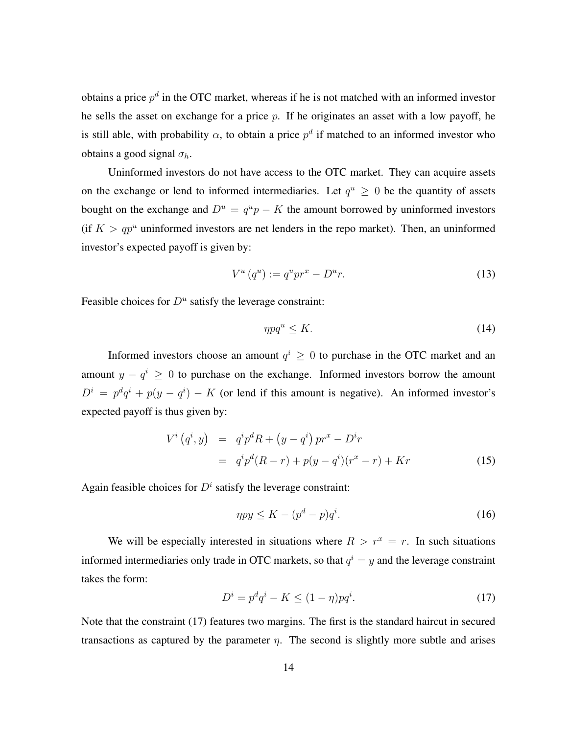obtains a price  $p^d$  in the OTC market, whereas if he is not matched with an informed investor he sells the asset on exchange for a price  $p$ . If he originates an asset with a low payoff, he is still able, with probability  $\alpha$ , to obtain a price  $p^d$  if matched to an informed investor who obtains a good signal  $\sigma_h$ .

Uninformed investors do not have access to the OTC market. They can acquire assets on the exchange or lend to informed intermediaries. Let  $q^u \geq 0$  be the quantity of assets bought on the exchange and  $D^u = q^u p - K$  the amount borrowed by uninformed investors (if  $K > qp^u$  uninformed investors are net lenders in the repo market). Then, an uninformed investor's expected payoff is given by:

$$
V^u(q^u) := q^u p r^x - D^u r. \tag{13}
$$

Feasible choices for  $D^u$  satisfy the leverage constraint:

$$
\eta pq^u \le K. \tag{14}
$$

Informed investors choose an amount  $q^i \geq 0$  to purchase in the OTC market and an amount  $y - q^i \geq 0$  to purchase on the exchange. Informed investors borrow the amount  $D^{i} = p^{d}q^{i} + p(y - q^{i}) - K$  (or lend if this amount is negative). An informed investor's expected payoff is thus given by:

$$
V^{i}(q^{i}, y) = q^{i}p^{d}R + (y - q^{i})pr^{x} - D^{i}r
$$
  
=  $q^{i}p^{d}(R - r) + p(y - q^{i})(r^{x} - r) + Kr$  (15)

Again feasible choices for  $D<sup>i</sup>$  satisfy the leverage constraint:

$$
\eta py \le K - (p^d - p)q^i. \tag{16}
$$

We will be especially interested in situations where  $R > r^x = r$ . In such situations informed intermediaries only trade in OTC markets, so that  $q^i = y$  and the leverage constraint takes the form:

$$
D^{i} = p^{d}q^{i} - K \le (1 - \eta)pq^{i}.
$$
 (17)

Note that the constraint (17) features two margins. The first is the standard haircut in secured transactions as captured by the parameter  $\eta$ . The second is slightly more subtle and arises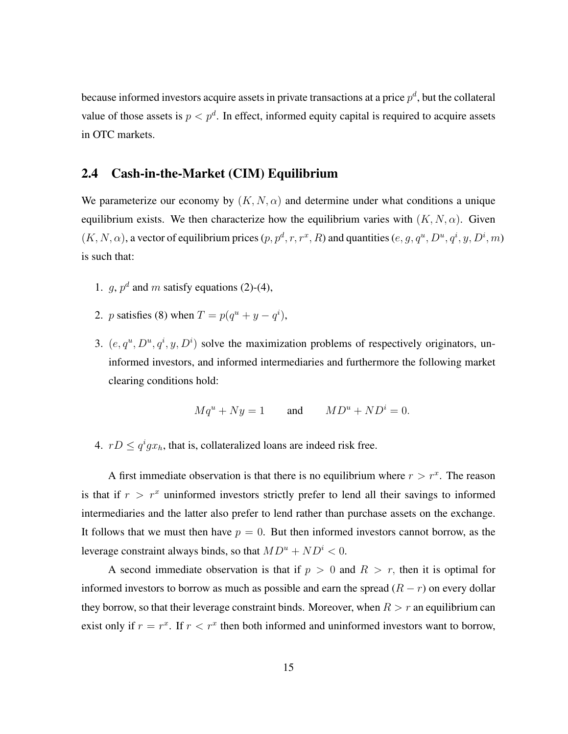because informed investors acquire assets in private transactions at a price  $p^d$ , but the collateral value of those assets is  $p < p<sup>d</sup>$ . In effect, informed equity capital is required to acquire assets in OTC markets.

## 2.4 Cash-in-the-Market (CIM) Equilibrium

We parameterize our economy by  $(K, N, \alpha)$  and determine under what conditions a unique equilibrium exists. We then characterize how the equilibrium varies with  $(K, N, \alpha)$ . Given  $(K, N, \alpha)$ , a vector of equilibrium prices  $(p, p^d, r, r^x, R)$  and quantities  $(e, g, q^u, D^u, q^i, y, D^i, m)$ is such that:

- 1.  $g, p^d$  and m satisfy equations (2)-(4),
- 2. p satisfies (8) when  $T = p(q^u + y q^i)$ ,
- 3.  $(e, q^u, D^u, q^i, y, D^i)$  solve the maximization problems of respectively originators, uninformed investors, and informed intermediaries and furthermore the following market clearing conditions hold:

$$
Mq^u + Ny = 1 \qquad \text{and} \qquad MD^u + ND^i = 0.
$$

4.  $rD \leq q^i g x_h$ , that is, collateralized loans are indeed risk free.

A first immediate observation is that there is no equilibrium where  $r > r<sup>x</sup>$ . The reason is that if  $r > r^x$  uninformed investors strictly prefer to lend all their savings to informed intermediaries and the latter also prefer to lend rather than purchase assets on the exchange. It follows that we must then have  $p = 0$ . But then informed investors cannot borrow, as the leverage constraint always binds, so that  $MD^u + ND^i < 0$ .

A second immediate observation is that if  $p > 0$  and  $R > r$ , then it is optimal for informed investors to borrow as much as possible and earn the spread  $(R - r)$  on every dollar they borrow, so that their leverage constraint binds. Moreover, when  $R > r$  an equilibrium can exist only if  $r = r^x$ . If  $r < r^x$  then both informed and uninformed investors want to borrow,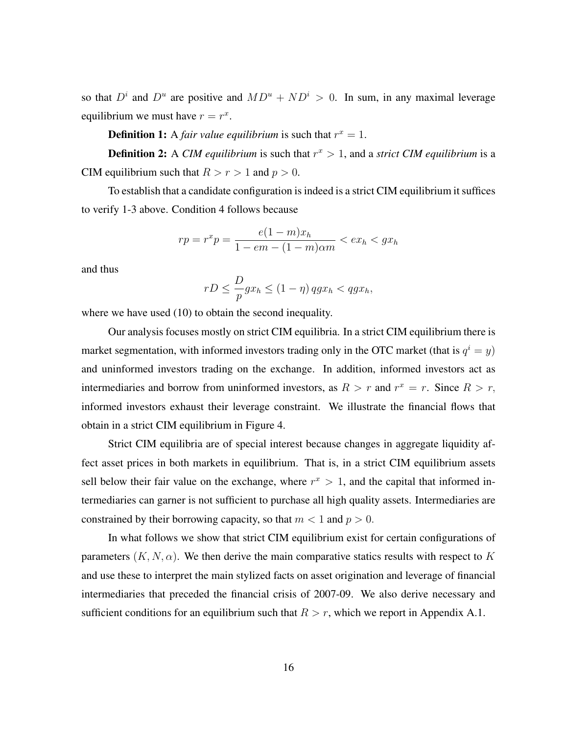so that  $D^i$  and  $D^u$  are positive and  $MD^u + ND^i > 0$ . In sum, in any maximal leverage equilibrium we must have  $r = r^x$ .

**Definition 1:** A *fair value equilibrium* is such that  $r^x = 1$ .

**Definition 2:** A *CIM equilibrium* is such that  $r^x > 1$ , and a *strict CIM equilibrium* is a CIM equilibrium such that  $R > r > 1$  and  $p > 0$ .

To establish that a candidate configuration is indeed is a strict CIM equilibrium it suffices to verify 1-3 above. Condition 4 follows because

$$
rp = r^x p = \frac{e(1-m)x_h}{1 - em - (1-m)\alpha m} < ex_h < gx_h
$$

and thus

$$
rD \le \frac{D}{p}gx_h \le (1-\eta) \, qgx_h < qgx_h,
$$

where we have used (10) to obtain the second inequality.

Our analysis focuses mostly on strict CIM equilibria. In a strict CIM equilibrium there is market segmentation, with informed investors trading only in the OTC market (that is  $q^{i} = y$ ) and uninformed investors trading on the exchange. In addition, informed investors act as intermediaries and borrow from uninformed investors, as  $R > r$  and  $r^x = r$ . Since  $R > r$ , informed investors exhaust their leverage constraint. We illustrate the financial flows that obtain in a strict CIM equilibrium in Figure 4.

Strict CIM equilibria are of special interest because changes in aggregate liquidity affect asset prices in both markets in equilibrium. That is, in a strict CIM equilibrium assets sell below their fair value on the exchange, where  $r^x > 1$ , and the capital that informed intermediaries can garner is not sufficient to purchase all high quality assets. Intermediaries are constrained by their borrowing capacity, so that  $m < 1$  and  $p > 0$ .

In what follows we show that strict CIM equilibrium exist for certain configurations of parameters  $(K, N, \alpha)$ . We then derive the main comparative statics results with respect to K and use these to interpret the main stylized facts on asset origination and leverage of financial intermediaries that preceded the financial crisis of 2007-09. We also derive necessary and sufficient conditions for an equilibrium such that  $R > r$ , which we report in Appendix A.1.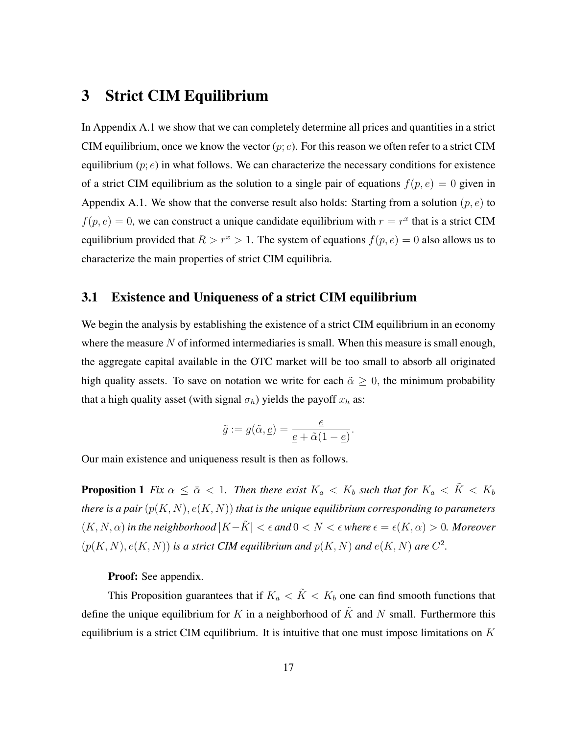## 3 Strict CIM Equilibrium

In Appendix A.1 we show that we can completely determine all prices and quantities in a strict CIM equilibrium, once we know the vector  $(p; e)$ . For this reason we often refer to a strict CIM equilibrium  $(p; e)$  in what follows. We can characterize the necessary conditions for existence of a strict CIM equilibrium as the solution to a single pair of equations  $f(p, e) = 0$  given in Appendix A.1. We show that the converse result also holds: Starting from a solution  $(p, e)$  to  $f(p, e) = 0$ , we can construct a unique candidate equilibrium with  $r = r<sup>x</sup>$  that is a strict CIM equilibrium provided that  $R > r^x > 1$ . The system of equations  $f(p, e) = 0$  also allows us to characterize the main properties of strict CIM equilibria.

## 3.1 Existence and Uniqueness of a strict CIM equilibrium

We begin the analysis by establishing the existence of a strict CIM equilibrium in an economy where the measure  $N$  of informed intermediaries is small. When this measure is small enough, the aggregate capital available in the OTC market will be too small to absorb all originated high quality assets. To save on notation we write for each  $\tilde{\alpha} \geq 0$ , the minimum probability that a high quality asset (with signal  $\sigma_h$ ) yields the payoff  $x_h$  as:

$$
\tilde{g} := g(\tilde{\alpha}, \underline{e}) = \frac{\underline{e}}{\underline{e} + \tilde{\alpha}(1 - \underline{e})}.
$$

Our main existence and uniqueness result is then as follows.

**Proposition 1** Fix  $\alpha \leq \bar{\alpha} < 1$ . Then there exist  $K_a < K_b$  such that for  $K_a < \tilde{K} < K_b$ *there is a pair*  $(p(K, N), e(K, N))$  *that is the unique equilibrium corresponding to parameters*  $(K, N, \alpha)$  *in the neighborhood*  $|K - \tilde{K}| < \epsilon$  and  $0 < N < \epsilon$  where  $\epsilon = \epsilon(K, \alpha) > 0$ *. Moreover*  $(p(K, N), e(K, N))$  *is a strict CIM equilibrium and*  $p(K, N)$  *and*  $e(K, N)$  *are*  $C^2$ *.* 

### Proof: See appendix.

This Proposition guarantees that if  $K_a < \tilde{K} < K_b$  one can find smooth functions that define the unique equilibrium for K in a neighborhood of  $\tilde{K}$  and N small. Furthermore this equilibrium is a strict CIM equilibrium. It is intuitive that one must impose limitations on  $K$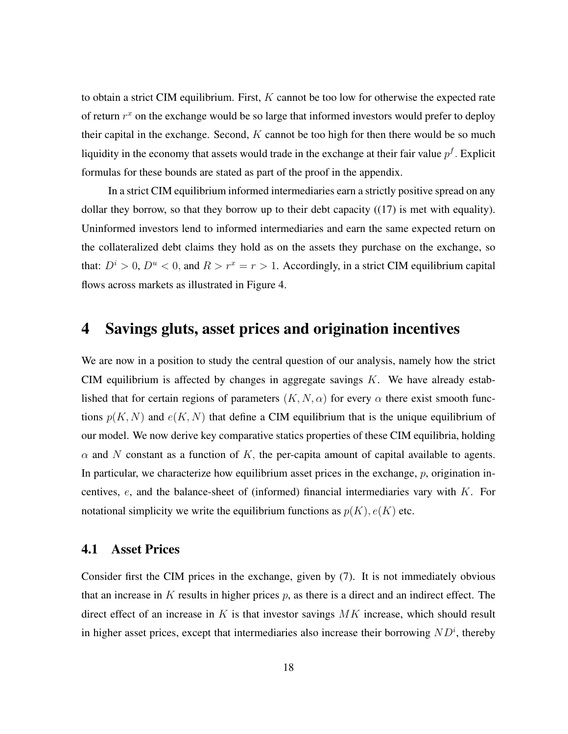to obtain a strict CIM equilibrium. First,  $K$  cannot be too low for otherwise the expected rate of return  $r^x$  on the exchange would be so large that informed investors would prefer to deploy their capital in the exchange. Second,  $K$  cannot be too high for then there would be so much liquidity in the economy that assets would trade in the exchange at their fair value  $p<sup>f</sup>$ . Explicit formulas for these bounds are stated as part of the proof in the appendix.

In a strict CIM equilibrium informed intermediaries earn a strictly positive spread on any dollar they borrow, so that they borrow up to their debt capacity  $((17)$  is met with equality). Uninformed investors lend to informed intermediaries and earn the same expected return on the collateralized debt claims they hold as on the assets they purchase on the exchange, so that:  $D^i > 0$ ,  $D^u < 0$ , and  $R > r^x = r > 1$ . Accordingly, in a strict CIM equilibrium capital flows across markets as illustrated in Figure 4.

# 4 Savings gluts, asset prices and origination incentives

We are now in a position to study the central question of our analysis, namely how the strict CIM equilibrium is affected by changes in aggregate savings  $K$ . We have already established that for certain regions of parameters  $(K, N, \alpha)$  for every  $\alpha$  there exist smooth functions  $p(K, N)$  and  $e(K, N)$  that define a CIM equilibrium that is the unique equilibrium of our model. We now derive key comparative statics properties of these CIM equilibria, holding  $\alpha$  and N constant as a function of K, the per-capita amount of capital available to agents. In particular, we characterize how equilibrium asset prices in the exchange,  $p$ , origination incentives, e, and the balance-sheet of (informed) financial intermediaries vary with K. For notational simplicity we write the equilibrium functions as  $p(K)$ ,  $e(K)$  etc.

### 4.1 Asset Prices

Consider first the CIM prices in the exchange, given by (7). It is not immediately obvious that an increase in K results in higher prices  $p$ , as there is a direct and an indirect effect. The direct effect of an increase in K is that investor savings  $MK$  increase, which should result in higher asset prices, except that intermediaries also increase their borrowing  $ND<sup>i</sup>$ , thereby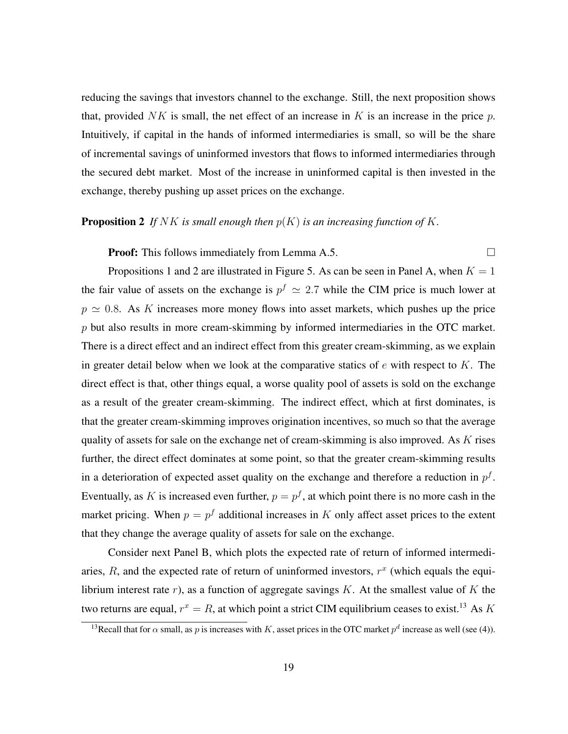reducing the savings that investors channel to the exchange. Still, the next proposition shows that, provided  $NK$  is small, the net effect of an increase in K is an increase in the price p. Intuitively, if capital in the hands of informed intermediaries is small, so will be the share of incremental savings of uninformed investors that flows to informed intermediaries through the secured debt market. Most of the increase in uninformed capital is then invested in the exchange, thereby pushing up asset prices on the exchange.

### **Proposition 2** If NK is small enough then  $p(K)$  is an increasing function of K.

**Proof:** This follows immediately from Lemma A.5.

Propositions 1 and 2 are illustrated in Figure 5. As can be seen in Panel A, when  $K = 1$ the fair value of assets on the exchange is  $p^f \approx 2.7$  while the CIM price is much lower at  $p \simeq 0.8$ . As K increases more money flows into asset markets, which pushes up the price  $p$  but also results in more cream-skimming by informed intermediaries in the OTC market. There is a direct effect and an indirect effect from this greater cream-skimming, as we explain in greater detail below when we look at the comparative statics of  $e$  with respect to  $K$ . The direct effect is that, other things equal, a worse quality pool of assets is sold on the exchange as a result of the greater cream-skimming. The indirect effect, which at first dominates, is that the greater cream-skimming improves origination incentives, so much so that the average quality of assets for sale on the exchange net of cream-skimming is also improved. As  $K$  rises further, the direct effect dominates at some point, so that the greater cream-skimming results in a deterioration of expected asset quality on the exchange and therefore a reduction in  $p<sup>f</sup>$ . Eventually, as K is increased even further,  $p = p<sup>f</sup>$ , at which point there is no more cash in the market pricing. When  $p = p<sup>f</sup>$  additional increases in K only affect asset prices to the extent that they change the average quality of assets for sale on the exchange.

Consider next Panel B, which plots the expected rate of return of informed intermediaries,  $R$ , and the expected rate of return of uninformed investors,  $r^x$  (which equals the equilibrium interest rate r), as a function of aggregate savings K. At the smallest value of K the two returns are equal,  $r^x = R$ , at which point a strict CIM equilibrium ceases to exist.<sup>13</sup> As K

<sup>&</sup>lt;sup>13</sup>Recall that for  $\alpha$  small, as p is increases with K, asset prices in the OTC market  $p^d$  increase as well (see (4)).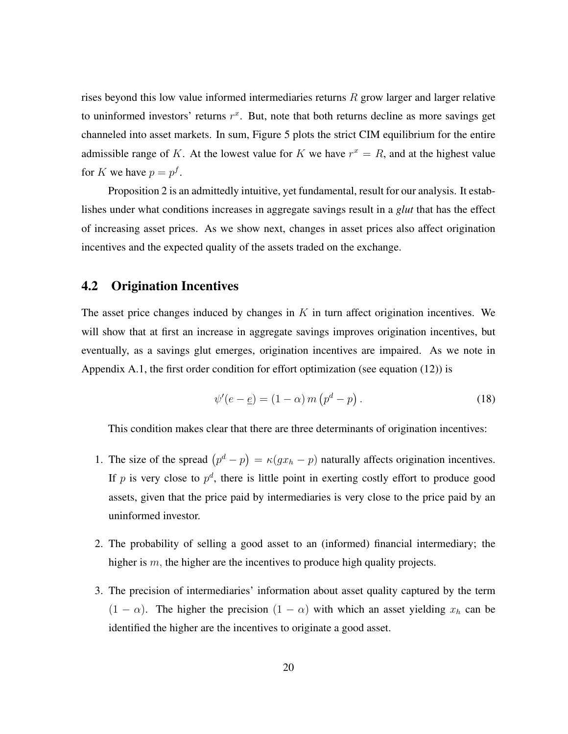rises beyond this low value informed intermediaries returns  $R$  grow larger and larger relative to uninformed investors' returns  $r^x$ . But, note that both returns decline as more savings get channeled into asset markets. In sum, Figure 5 plots the strict CIM equilibrium for the entire admissible range of K. At the lowest value for K we have  $r^x = R$ , and at the highest value for K we have  $p = p^f$ .

Proposition 2 is an admittedly intuitive, yet fundamental, result for our analysis. It establishes under what conditions increases in aggregate savings result in a *glut* that has the effect of increasing asset prices. As we show next, changes in asset prices also affect origination incentives and the expected quality of the assets traded on the exchange.

## 4.2 Origination Incentives

The asset price changes induced by changes in  $K$  in turn affect origination incentives. We will show that at first an increase in aggregate savings improves origination incentives, but eventually, as a savings glut emerges, origination incentives are impaired. As we note in Appendix A.1, the first order condition for effort optimization (see equation  $(12)$ ) is

$$
\psi'(e - \underline{e}) = (1 - \alpha) m (p^d - p).
$$
\n(18)

This condition makes clear that there are three determinants of origination incentives:

- 1. The size of the spread  $(p^d p) = \kappa(gx_h p)$  naturally affects origination incentives. If p is very close to  $p^d$ , there is little point in exerting costly effort to produce good assets, given that the price paid by intermediaries is very close to the price paid by an uninformed investor.
- 2. The probability of selling a good asset to an (informed) financial intermediary; the higher is  $m$ , the higher are the incentives to produce high quality projects.
- 3. The precision of intermediaries' information about asset quality captured by the term  $(1 - \alpha)$ . The higher the precision  $(1 - \alpha)$  with which an asset yielding  $x_h$  can be identified the higher are the incentives to originate a good asset.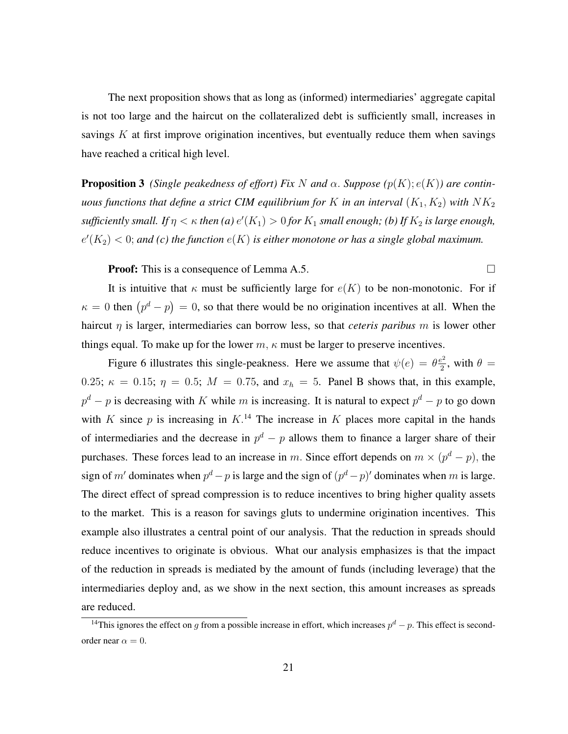The next proposition shows that as long as (informed) intermediaries' aggregate capital is not too large and the haircut on the collateralized debt is sufficiently small, increases in savings  $K$  at first improve origination incentives, but eventually reduce them when savings have reached a critical high level.

**Proposition 3** *(Single peakedness of effort) Fix* N *and*  $\alpha$ . *Suppose*  $(p(K); e(K))$  *are continuous functions that define a strict CIM equilibrium for* K *in an interval*  $(K_1, K_2)$  *with*  $NK_2$  $sufficiently small.$  If  $\eta < \kappa$  then (a)  $e'(K_1) > 0$  for  $K_1$  small enough; (b) If  $K_2$  is large enough,  $e'(K_2) < 0$ ; and (c) the function  $e(K)$  is either monotone or has a single global maximum.

**Proof:** This is a consequence of Lemma A.5. □

It is intuitive that  $\kappa$  must be sufficiently large for  $e(K)$  to be non-monotonic. For if  $\kappa = 0$  then  $(p^d - p) = 0$ , so that there would be no origination incentives at all. When the haircut η is larger, intermediaries can borrow less, so that *ceteris paribus* m is lower other things equal. To make up for the lower  $m, \kappa$  must be larger to preserve incentives.

Figure 6 illustrates this single-peakness. Here we assume that  $\psi(e) = \theta \frac{e^2}{2}$  $\frac{e^2}{2}$ , with  $\theta =$ 0.25;  $\kappa = 0.15$ ;  $\eta = 0.5$ ;  $M = 0.75$ , and  $x_h = 5$ . Panel B shows that, in this example,  $p^d - p$  is decreasing with K while m is increasing. It is natural to expect  $p^d - p$  to go down with K since p is increasing in  $K^{14}$ . The increase in K places more capital in the hands of intermediaries and the decrease in  $p^d - p$  allows them to finance a larger share of their purchases. These forces lead to an increase in m. Since effort depends on  $m \times (p^d - p)$ , the sign of m' dominates when  $p^d - p$  is large and the sign of  $(p^d - p)'$  dominates when m is large. The direct effect of spread compression is to reduce incentives to bring higher quality assets to the market. This is a reason for savings gluts to undermine origination incentives. This example also illustrates a central point of our analysis. That the reduction in spreads should reduce incentives to originate is obvious. What our analysis emphasizes is that the impact of the reduction in spreads is mediated by the amount of funds (including leverage) that the intermediaries deploy and, as we show in the next section, this amount increases as spreads are reduced.

<sup>&</sup>lt;sup>14</sup>This ignores the effect on g from a possible increase in effort, which increases  $p^d - p$ . This effect is secondorder near  $\alpha = 0$ .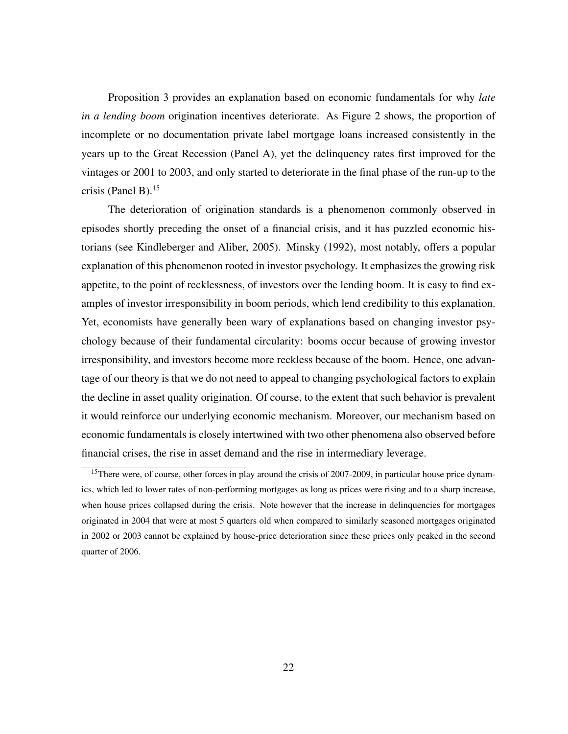Proposition 3 provides an explanation based on economic fundamentals for why *late in a lending boom* origination incentives deteriorate. As Figure 2 shows, the proportion of incomplete or no documentation private label mortgage loans increased consistently in the years up to the Great Recession (Panel A), yet the delinquency rates first improved for the vintages or 2001 to 2003, and only started to deteriorate in the final phase of the run-up to the crisis (Panel B). $^{15}$ 

The deterioration of origination standards is a phenomenon commonly observed in episodes shortly preceding the onset of a financial crisis, and it has puzzled economic historians (see Kindleberger and Aliber, 2005). Minsky (1992), most notably, offers a popular explanation of this phenomenon rooted in investor psychology. It emphasizes the growing risk appetite, to the point of recklessness, of investors over the lending boom. It is easy to find examples of investor irresponsibility in boom periods, which lend credibility to this explanation. Yet, economists have generally been wary of explanations based on changing investor psychology because of their fundamental circularity: booms occur because of growing investor irresponsibility, and investors become more reckless because of the boom. Hence, one advantage of our theory is that we do not need to appeal to changing psychological factors to explain the decline in asset quality origination. Of course, to the extent that such behavior is prevalent it would reinforce our underlying economic mechanism. Moreover, our mechanism based on economic fundamentals is closely intertwined with two other phenomena also observed before financial crises, the rise in asset demand and the rise in intermediary leverage.

<sup>&</sup>lt;sup>15</sup>There were, of course, other forces in play around the crisis of 2007-2009, in particular house price dynamics, which led to lower rates of non-performing mortgages as long as prices were rising and to a sharp increase, when house prices collapsed during the crisis. Note however that the increase in delinquencies for mortgages originated in 2004 that were at most 5 quarters old when compared to similarly seasoned mortgages originated in 2002 or 2003 cannot be explained by house-price deterioration since these prices only peaked in the second quarter of 2006.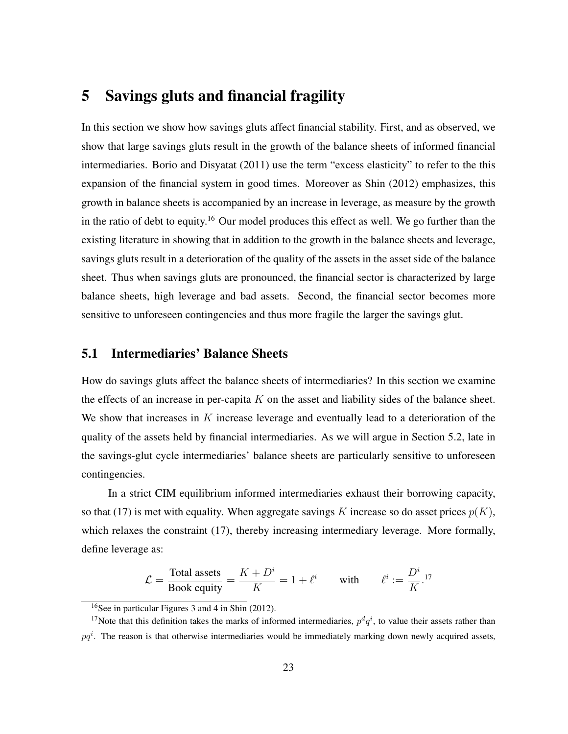# 5 Savings gluts and financial fragility

In this section we show how savings gluts affect financial stability. First, and as observed, we show that large savings gluts result in the growth of the balance sheets of informed financial intermediaries. Borio and Disyatat (2011) use the term "excess elasticity" to refer to the this expansion of the financial system in good times. Moreover as Shin (2012) emphasizes, this growth in balance sheets is accompanied by an increase in leverage, as measure by the growth in the ratio of debt to equity.<sup>16</sup> Our model produces this effect as well. We go further than the existing literature in showing that in addition to the growth in the balance sheets and leverage, savings gluts result in a deterioration of the quality of the assets in the asset side of the balance sheet. Thus when savings gluts are pronounced, the financial sector is characterized by large balance sheets, high leverage and bad assets. Second, the financial sector becomes more sensitive to unforeseen contingencies and thus more fragile the larger the savings glut.

## 5.1 Intermediaries' Balance Sheets

How do savings gluts affect the balance sheets of intermediaries? In this section we examine the effects of an increase in per-capita  $K$  on the asset and liability sides of the balance sheet. We show that increases in  $K$  increase leverage and eventually lead to a deterioration of the quality of the assets held by financial intermediaries. As we will argue in Section 5.2, late in the savings-glut cycle intermediaries' balance sheets are particularly sensitive to unforeseen contingencies.

In a strict CIM equilibrium informed intermediaries exhaust their borrowing capacity, so that (17) is met with equality. When aggregate savings K increase so do asset prices  $p(K)$ , which relaxes the constraint (17), thereby increasing intermediary leverage. More formally, define leverage as:

$$
\mathcal{L} = \frac{\text{Total assets}}{\text{Book equity}} = \frac{K + D^i}{K} = 1 + \ell^i \quad \text{with} \quad \ell^i := \frac{D^i}{K}.^{17}
$$

<sup>16</sup>See in particular Figures 3 and 4 in Shin (2012).

<sup>&</sup>lt;sup>17</sup>Note that this definition takes the marks of informed intermediaries,  $p^d q^i$ , to value their assets rather than  $pq<sup>i</sup>$ . The reason is that otherwise intermediaries would be immediately marking down newly acquired assets,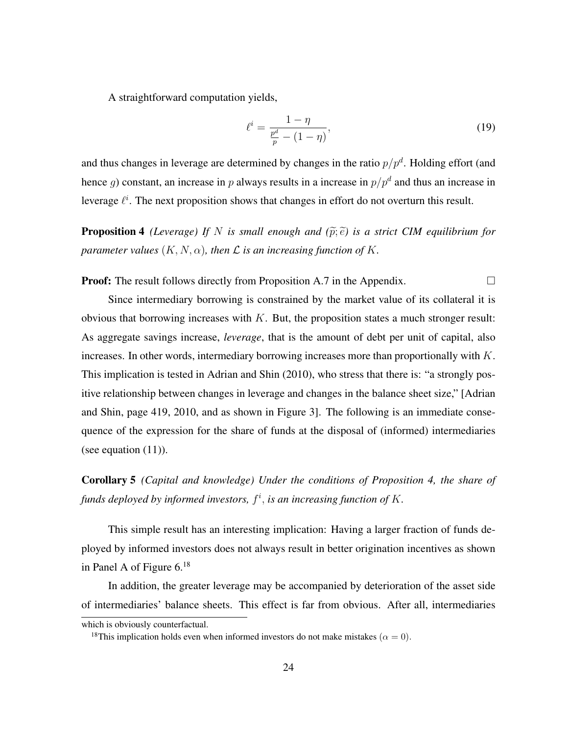A straightforward computation yields,

$$
\ell^i = \frac{1 - \eta}{\frac{p^d}{p} - (1 - \eta)},\tag{19}
$$

and thus changes in leverage are determined by changes in the ratio  $p/p^d$ . Holding effort (and hence g) constant, an increase in p always results in a increase in  $p/p^d$  and thus an increase in leverage  $\ell^i$ . The next proposition shows that changes in effort do not overturn this result.

**Proposition 4** *(Leverage)* If N is small enough and  $(\tilde{p}, \tilde{e})$  is a strict CIM equilibrium for *parameter values*  $(K, N, \alpha)$ *, then*  $\mathcal L$  *is an increasing function of*  $K$ *.* 

**Proof:** The result follows directly from Proposition A.7 in the Appendix.  $\Box$ 

Since intermediary borrowing is constrained by the market value of its collateral it is obvious that borrowing increases with  $K$ . But, the proposition states a much stronger result: As aggregate savings increase, *leverage*, that is the amount of debt per unit of capital, also increases. In other words, intermediary borrowing increases more than proportionally with  $K$ . This implication is tested in Adrian and Shin (2010), who stress that there is: "a strongly positive relationship between changes in leverage and changes in the balance sheet size," [Adrian and Shin, page 419, 2010, and as shown in Figure 3]. The following is an immediate consequence of the expression for the share of funds at the disposal of (informed) intermediaries (see equation  $(11)$ ).

Corollary 5 *(Capital and knowledge) Under the conditions of Proposition 4, the share of* funds deployed by informed investors,  $f^i$ , is an increasing function of  $K$ .

This simple result has an interesting implication: Having a larger fraction of funds deployed by informed investors does not always result in better origination incentives as shown in Panel A of Figure  $6.^{18}$ 

In addition, the greater leverage may be accompanied by deterioration of the asset side of intermediaries' balance sheets. This effect is far from obvious. After all, intermediaries

which is obviously counterfactual.

<sup>&</sup>lt;sup>18</sup>This implication holds even when informed investors do not make mistakes ( $\alpha = 0$ ).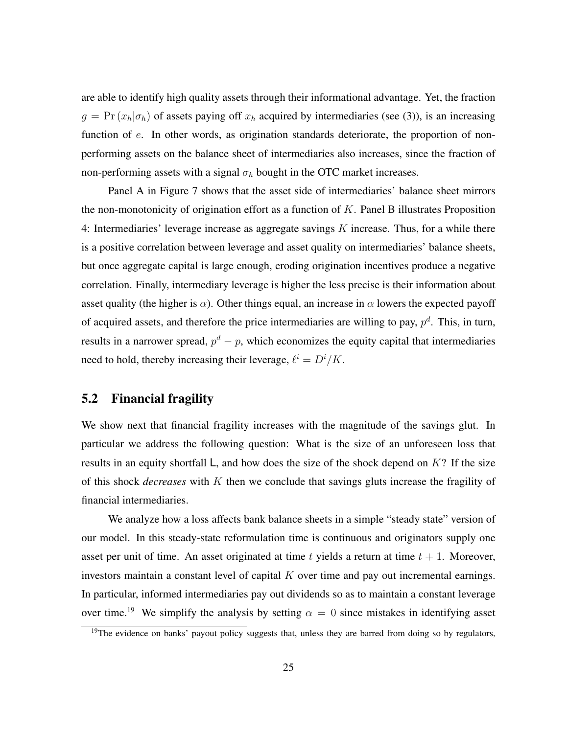are able to identify high quality assets through their informational advantage. Yet, the fraction  $g = Pr(x_h | \sigma_h)$  of assets paying off  $x_h$  acquired by intermediaries (see (3)), is an increasing function of e. In other words, as origination standards deteriorate, the proportion of nonperforming assets on the balance sheet of intermediaries also increases, since the fraction of non-performing assets with a signal  $\sigma_h$  bought in the OTC market increases.

Panel A in Figure 7 shows that the asset side of intermediaries' balance sheet mirrors the non-monotonicity of origination effort as a function of  $K$ . Panel B illustrates Proposition 4: Intermediaries' leverage increase as aggregate savings  $K$  increase. Thus, for a while there is a positive correlation between leverage and asset quality on intermediaries' balance sheets, but once aggregate capital is large enough, eroding origination incentives produce a negative correlation. Finally, intermediary leverage is higher the less precise is their information about asset quality (the higher is  $\alpha$ ). Other things equal, an increase in  $\alpha$  lowers the expected payoff of acquired assets, and therefore the price intermediaries are willing to pay,  $p<sup>d</sup>$ . This, in turn, results in a narrower spread,  $p^d - p$ , which economizes the equity capital that intermediaries need to hold, thereby increasing their leverage,  $\ell^i = D^i/K$ .

## 5.2 Financial fragility

We show next that financial fragility increases with the magnitude of the savings glut. In particular we address the following question: What is the size of an unforeseen loss that results in an equity shortfall L, and how does the size of the shock depend on  $K$ ? If the size of this shock *decreases* with K then we conclude that savings gluts increase the fragility of financial intermediaries.

We analyze how a loss affects bank balance sheets in a simple "steady state" version of our model. In this steady-state reformulation time is continuous and originators supply one asset per unit of time. An asset originated at time t yields a return at time  $t + 1$ . Moreover, investors maintain a constant level of capital  $K$  over time and pay out incremental earnings. In particular, informed intermediaries pay out dividends so as to maintain a constant leverage over time.<sup>19</sup> We simplify the analysis by setting  $\alpha = 0$  since mistakes in identifying asset

 $19$ The evidence on banks' payout policy suggests that, unless they are barred from doing so by regulators,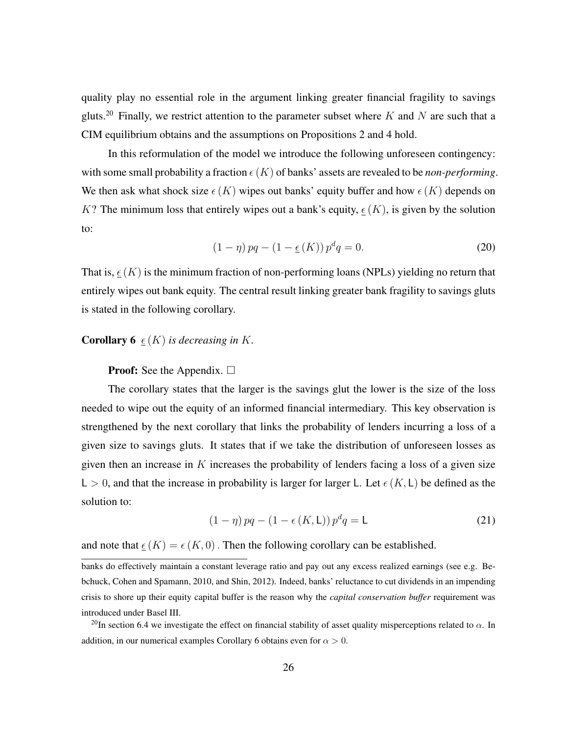quality play no essential role in the argument linking greater financial fragility to savings gluts.<sup>20</sup> Finally, we restrict attention to the parameter subset where K and N are such that a CIM equilibrium obtains and the assumptions on Propositions 2 and 4 hold.

In this reformulation of the model we introduce the following unforeseen contingency: with some small probability a fraction  $\epsilon(K)$  of banks' assets are revealed to be *non-performing*. We then ask what shock size  $\epsilon(K)$  wipes out banks' equity buffer and how  $\epsilon(K)$  depends on K? The minimum loss that entirely wipes out a bank's equity,  $\epsilon(K)$ , is given by the solution to:

$$
(1 - \eta) pq - (1 - \underline{\epsilon}(K)) p^d q = 0.
$$
 (20)

That is,  $\epsilon(K)$  is the minimum fraction of non-performing loans (NPLs) yielding no return that entirely wipes out bank equity. The central result linking greater bank fragility to savings gluts is stated in the following corollary.

**Corollary 6**  $\epsilon(K)$  *is decreasing in* K.

#### **Proof:** See the Appendix.  $\Box$

The corollary states that the larger is the savings glut the lower is the size of the loss needed to wipe out the equity of an informed financial intermediary. This key observation is strengthened by the next corollary that links the probability of lenders incurring a loss of a given size to savings gluts. It states that if we take the distribution of unforeseen losses as given then an increase in K increases the probability of lenders facing a loss of a given size  $L > 0$ , and that the increase in probability is larger for larger L. Let  $\epsilon(K, L)$  be defined as the solution to:

$$
(1 - \eta) pq - (1 - \epsilon(K, L)) p^d q = L \tag{21}
$$

and note that  $\underline{\epsilon}(K) = \epsilon(K, 0)$ . Then the following corollary can be established.

banks do effectively maintain a constant leverage ratio and pay out any excess realized earnings (see e.g. Bebchuck, Cohen and Spamann, 2010, and Shin, 2012). Indeed, banks' reluctance to cut dividends in an impending crisis to shore up their equity capital buffer is the reason why the *capital conservation buffer* requirement was introduced under Basel III.

<sup>&</sup>lt;sup>20</sup>In section 6.4 we investigate the effect on financial stability of asset quality misperceptions related to  $\alpha$ . In addition, in our numerical examples Corollary 6 obtains even for  $\alpha > 0$ .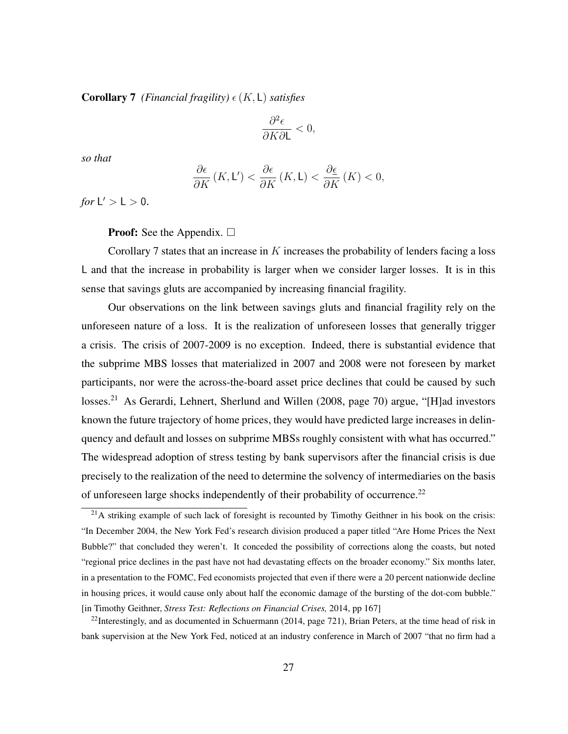**Corollary 7** *(Financial fragility)*  $\epsilon$  (*K*, L) *satisfies* 

$$
\frac{\partial^2 \epsilon}{\partial K \partial L} < 0,
$$

*so that*

$$
\frac{\partial \epsilon}{\partial K} (K, \mathsf{L}') < \frac{\partial \epsilon}{\partial K} (K, \mathsf{L}) < \frac{\partial \epsilon}{\partial K} (K) < 0,
$$

*for*  $L' > L > 0$ *.* 

#### **Proof:** See the Appendix.  $\Box$

Corollary 7 states that an increase in  $K$  increases the probability of lenders facing a loss L and that the increase in probability is larger when we consider larger losses. It is in this sense that savings gluts are accompanied by increasing financial fragility.

Our observations on the link between savings gluts and financial fragility rely on the unforeseen nature of a loss. It is the realization of unforeseen losses that generally trigger a crisis. The crisis of 2007-2009 is no exception. Indeed, there is substantial evidence that the subprime MBS losses that materialized in 2007 and 2008 were not foreseen by market participants, nor were the across-the-board asset price declines that could be caused by such losses.<sup>21</sup> As Gerardi, Lehnert, Sherlund and Willen (2008, page 70) argue, "[H]ad investors known the future trajectory of home prices, they would have predicted large increases in delinquency and default and losses on subprime MBSs roughly consistent with what has occurred." The widespread adoption of stress testing by bank supervisors after the financial crisis is due precisely to the realization of the need to determine the solvency of intermediaries on the basis of unforeseen large shocks independently of their probability of occurrence.<sup>22</sup>

 $21A$  striking example of such lack of foresight is recounted by Timothy Geithner in his book on the crisis: "In December 2004, the New York Fed's research division produced a paper titled "Are Home Prices the Next Bubble?" that concluded they weren't. It conceded the possibility of corrections along the coasts, but noted "regional price declines in the past have not had devastating effects on the broader economy." Six months later, in a presentation to the FOMC, Fed economists projected that even if there were a 20 percent nationwide decline in housing prices, it would cause only about half the economic damage of the bursting of the dot-com bubble." [in Timothy Geithner, *Stress Test: Reflections on Financial Crises,* 2014, pp 167]

 $^{22}$ Interestingly, and as documented in Schuermann (2014, page 721), Brian Peters, at the time head of risk in bank supervision at the New York Fed, noticed at an industry conference in March of 2007 "that no firm had a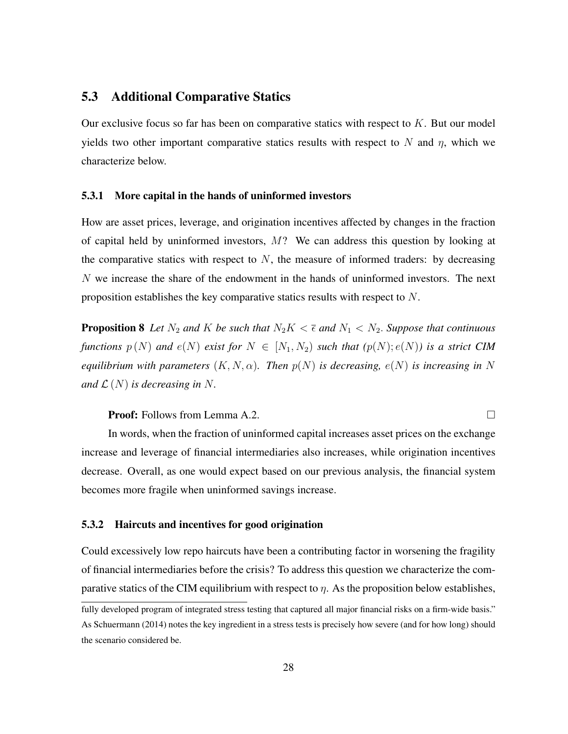## 5.3 Additional Comparative Statics

Our exclusive focus so far has been on comparative statics with respect to  $K$ . But our model yields two other important comparative statics results with respect to N and  $\eta$ , which we characterize below.

#### 5.3.1 More capital in the hands of uninformed investors

How are asset prices, leverage, and origination incentives affected by changes in the fraction of capital held by uninformed investors,  $M$ ? We can address this question by looking at the comparative statics with respect to  $N$ , the measure of informed traders: by decreasing N we increase the share of the endowment in the hands of uninformed investors. The next proposition establishes the key comparative statics results with respect to N.

**Proposition 8** Let  $N_2$  and K be such that  $N_2K < \overline{\epsilon}$  and  $N_1 < N_2$ . Suppose that continuous *functions*  $p(N)$  *and*  $e(N)$  *exist for*  $N \in [N_1, N_2)$  *such that*  $(p(N); e(N))$  *is a strict CIM equilibrium with parameters*  $(K, N, \alpha)$ . Then  $p(N)$  *is decreasing,*  $e(N)$  *is increasing in* N *and*  $\mathcal{L}(N)$  *is decreasing in* N.

### **Proof:** Follows from Lemma A.2.

In words, when the fraction of uninformed capital increases asset prices on the exchange increase and leverage of financial intermediaries also increases, while origination incentives decrease. Overall, as one would expect based on our previous analysis, the financial system becomes more fragile when uninformed savings increase.

### 5.3.2 Haircuts and incentives for good origination

Could excessively low repo haircuts have been a contributing factor in worsening the fragility of financial intermediaries before the crisis? To address this question we characterize the comparative statics of the CIM equilibrium with respect to  $\eta$ . As the proposition below establishes,

fully developed program of integrated stress testing that captured all major financial risks on a firm-wide basis." As Schuermann (2014) notes the key ingredient in a stress tests is precisely how severe (and for how long) should the scenario considered be.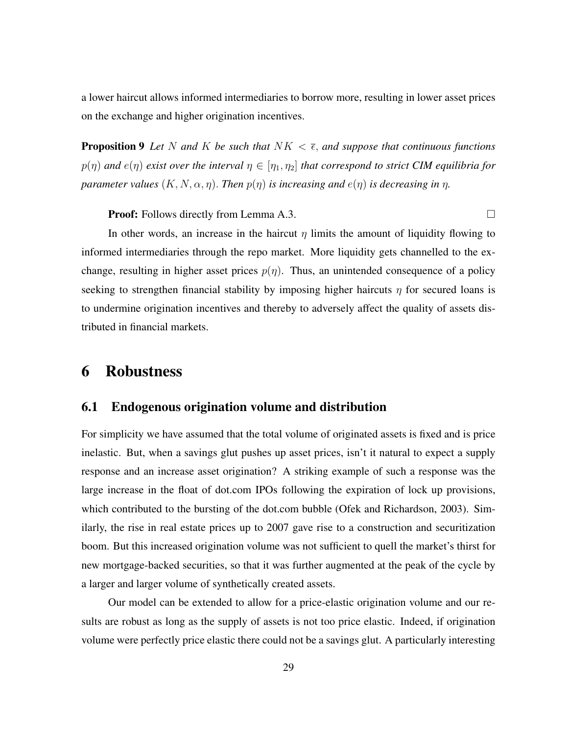a lower haircut allows informed intermediaries to borrow more, resulting in lower asset prices on the exchange and higher origination incentives.

**Proposition 9** Let N and K be such that  $NK < \overline{\epsilon}$ , and suppose that continuous functions  $p(\eta)$  and  $e(\eta)$  exist over the interval  $\eta \in [\eta_1, \eta_2]$  that correspond to strict CIM equilibria for *parameter values*  $(K, N, \alpha, \eta)$ *. Then*  $p(\eta)$  *is increasing and*  $e(\eta)$  *is decreasing in*  $\eta$ *.* 

**Proof:** Follows directly from Lemma A.3. □

In other words, an increase in the haircut  $\eta$  limits the amount of liquidity flowing to informed intermediaries through the repo market. More liquidity gets channelled to the exchange, resulting in higher asset prices  $p(\eta)$ . Thus, an unintended consequence of a policy seeking to strengthen financial stability by imposing higher haircuts  $\eta$  for secured loans is to undermine origination incentives and thereby to adversely affect the quality of assets distributed in financial markets.

# 6 Robustness

## 6.1 Endogenous origination volume and distribution

For simplicity we have assumed that the total volume of originated assets is fixed and is price inelastic. But, when a savings glut pushes up asset prices, isn't it natural to expect a supply response and an increase asset origination? A striking example of such a response was the large increase in the float of dot.com IPOs following the expiration of lock up provisions, which contributed to the bursting of the dot.com bubble (Ofek and Richardson, 2003). Similarly, the rise in real estate prices up to 2007 gave rise to a construction and securitization boom. But this increased origination volume was not sufficient to quell the market's thirst for new mortgage-backed securities, so that it was further augmented at the peak of the cycle by a larger and larger volume of synthetically created assets.

Our model can be extended to allow for a price-elastic origination volume and our results are robust as long as the supply of assets is not too price elastic. Indeed, if origination volume were perfectly price elastic there could not be a savings glut. A particularly interesting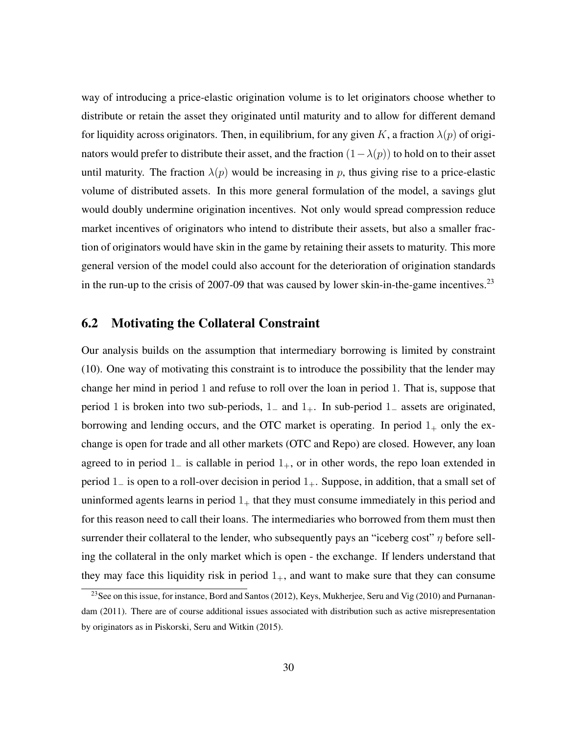way of introducing a price-elastic origination volume is to let originators choose whether to distribute or retain the asset they originated until maturity and to allow for different demand for liquidity across originators. Then, in equilibrium, for any given K, a fraction  $\lambda(p)$  of originators would prefer to distribute their asset, and the fraction  $(1-\lambda(p))$  to hold on to their asset until maturity. The fraction  $\lambda(p)$  would be increasing in p, thus giving rise to a price-elastic volume of distributed assets. In this more general formulation of the model, a savings glut would doubly undermine origination incentives. Not only would spread compression reduce market incentives of originators who intend to distribute their assets, but also a smaller fraction of originators would have skin in the game by retaining their assets to maturity. This more general version of the model could also account for the deterioration of origination standards in the run-up to the crisis of 2007-09 that was caused by lower skin-in-the-game incentives.<sup>23</sup>

## 6.2 Motivating the Collateral Constraint

Our analysis builds on the assumption that intermediary borrowing is limited by constraint (10). One way of motivating this constraint is to introduce the possibility that the lender may change her mind in period 1 and refuse to roll over the loan in period 1. That is, suppose that period 1 is broken into two sub-periods,  $1_-\,$  and  $1_+\,$ . In sub-period  $1_-\,$  assets are originated, borrowing and lending occurs, and the OTC market is operating. In period  $1_+$  only the exchange is open for trade and all other markets (OTC and Repo) are closed. However, any loan agreed to in period  $1_$  is callable in period  $1_+$ , or in other words, the repo loan extended in period  $1_$  is open to a roll-over decision in period  $1_+$ . Suppose, in addition, that a small set of uninformed agents learns in period  $1_{+}$  that they must consume immediately in this period and for this reason need to call their loans. The intermediaries who borrowed from them must then surrender their collateral to the lender, who subsequently pays an "iceberg cost"  $\eta$  before selling the collateral in the only market which is open - the exchange. If lenders understand that they may face this liquidity risk in period  $1_{+}$ , and want to make sure that they can consume

<sup>&</sup>lt;sup>23</sup>See on this issue, for instance, Bord and Santos (2012), Keys, Mukherjee, Seru and Vig (2010) and Purnanandam (2011). There are of course additional issues associated with distribution such as active misrepresentation by originators as in Piskorski, Seru and Witkin (2015).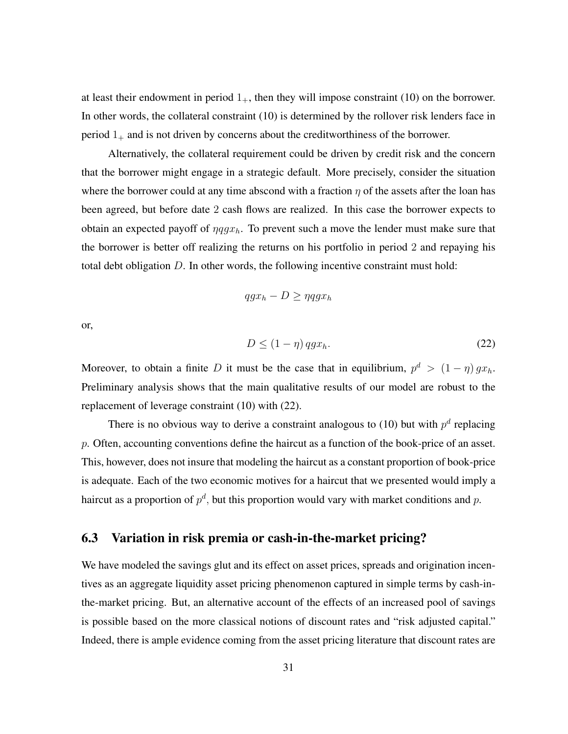at least their endowment in period  $1_{+}$ , then they will impose constraint (10) on the borrower. In other words, the collateral constraint (10) is determined by the rollover risk lenders face in period  $1_+$  and is not driven by concerns about the creditworthiness of the borrower.

Alternatively, the collateral requirement could be driven by credit risk and the concern that the borrower might engage in a strategic default. More precisely, consider the situation where the borrower could at any time abscond with a fraction  $\eta$  of the assets after the loan has been agreed, but before date 2 cash flows are realized. In this case the borrower expects to obtain an expected payoff of  $\eta qgx_h$ . To prevent such a move the lender must make sure that the borrower is better off realizing the returns on his portfolio in period 2 and repaying his total debt obligation  $D$ . In other words, the following incentive constraint must hold:

$$
qgx_h - D \geq \eta qgx_h
$$

or,

$$
D \le (1 - \eta) \, q g x_h. \tag{22}
$$

Moreover, to obtain a finite D it must be the case that in equilibrium,  $p^d > (1 - \eta) g x_h$ . Preliminary analysis shows that the main qualitative results of our model are robust to the replacement of leverage constraint (10) with (22).

There is no obvious way to derive a constraint analogous to (10) but with  $p^d$  replacing p. Often, accounting conventions define the haircut as a function of the book-price of an asset. This, however, does not insure that modeling the haircut as a constant proportion of book-price is adequate. Each of the two economic motives for a haircut that we presented would imply a haircut as a proportion of  $p^d$ , but this proportion would vary with market conditions and  $p$ .

## 6.3 Variation in risk premia or cash-in-the-market pricing?

We have modeled the savings glut and its effect on asset prices, spreads and origination incentives as an aggregate liquidity asset pricing phenomenon captured in simple terms by cash-inthe-market pricing. But, an alternative account of the effects of an increased pool of savings is possible based on the more classical notions of discount rates and "risk adjusted capital." Indeed, there is ample evidence coming from the asset pricing literature that discount rates are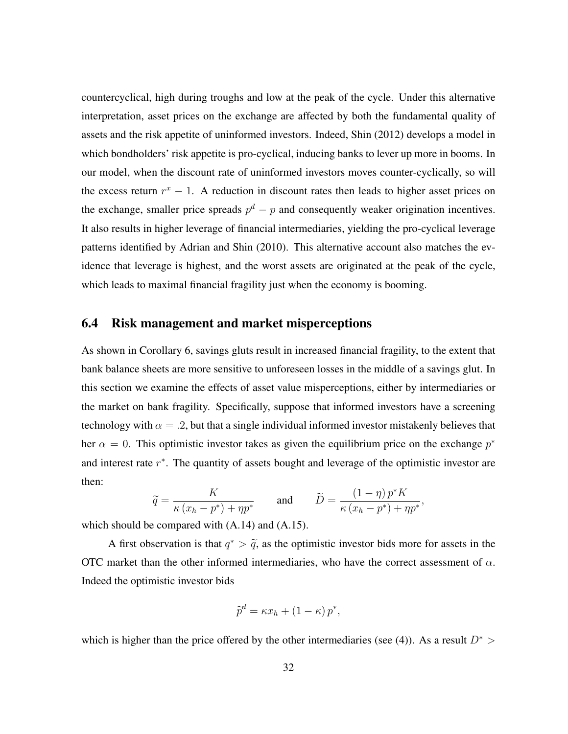countercyclical, high during troughs and low at the peak of the cycle. Under this alternative interpretation, asset prices on the exchange are affected by both the fundamental quality of assets and the risk appetite of uninformed investors. Indeed, Shin (2012) develops a model in which bondholders' risk appetite is pro-cyclical, inducing banks to lever up more in booms. In our model, when the discount rate of uninformed investors moves counter-cyclically, so will the excess return  $r^x - 1$ . A reduction in discount rates then leads to higher asset prices on the exchange, smaller price spreads  $p^d - p$  and consequently weaker origination incentives. It also results in higher leverage of financial intermediaries, yielding the pro-cyclical leverage patterns identified by Adrian and Shin (2010). This alternative account also matches the evidence that leverage is highest, and the worst assets are originated at the peak of the cycle, which leads to maximal financial fragility just when the economy is booming.

## 6.4 Risk management and market misperceptions

As shown in Corollary 6, savings gluts result in increased financial fragility, to the extent that bank balance sheets are more sensitive to unforeseen losses in the middle of a savings glut. In this section we examine the effects of asset value misperceptions, either by intermediaries or the market on bank fragility. Specifically, suppose that informed investors have a screening technology with  $\alpha = 0.2$ , but that a single individual informed investor mistakenly believes that her  $\alpha = 0$ . This optimistic investor takes as given the equilibrium price on the exchange  $p^*$ and interest rate  $r^*$ . The quantity of assets bought and leverage of the optimistic investor are then:

$$
\widetilde{q} = \frac{K}{\kappa (x_h - p^*) + \eta p^*}
$$
 and  $\widetilde{D} = \frac{(1 - \eta) p^* K}{\kappa (x_h - p^*) + \eta p^*},$ 

which should be compared with (A.14) and (A.15).

A first observation is that  $q^* > \tilde{q}$ , as the optimistic investor bids more for assets in the OTC market than the other informed intermediaries, who have the correct assessment of  $\alpha$ . Indeed the optimistic investor bids

$$
\widetilde{p}^d = \kappa x_h + (1 - \kappa) p^*,
$$

which is higher than the price offered by the other intermediaries (see (4)). As a result  $D^*$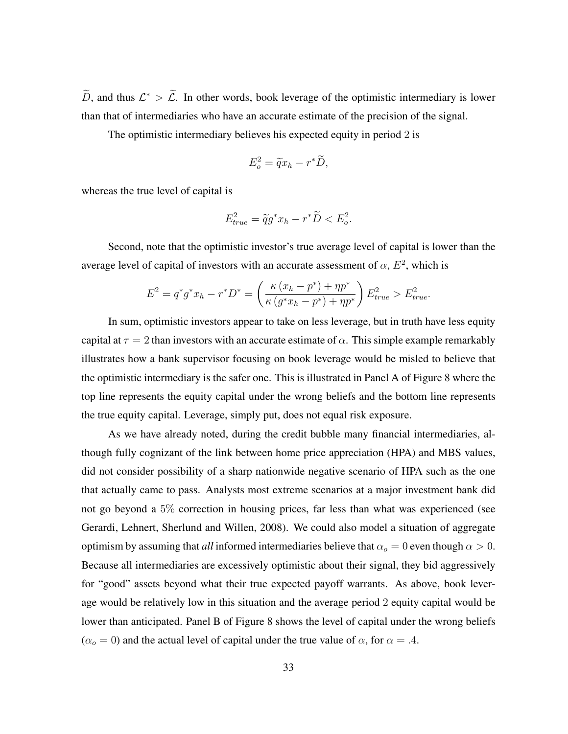D, and thus  $\mathcal{L}^* > \mathcal{L}$ . In other words, book leverage of the optimistic intermediary is lower than that of intermediaries who have an accurate estimate of the precision of the signal.

The optimistic intermediary believes his expected equity in period 2 is

$$
E_o^2 = \widetilde{q}x_h - r^*\widetilde{D},
$$

whereas the true level of capital is

$$
E_{true}^2 = \widetilde{q}g^*x_h - r^*\widetilde{D} < E_o^2.
$$

Second, note that the optimistic investor's true average level of capital is lower than the average level of capital of investors with an accurate assessment of  $\alpha$ ,  $E^2$ , which is

$$
E^{2} = q^{*}g^{*}x_{h} - r^{*}D^{*} = \left(\frac{\kappa (x_{h} - p^{*}) + \eta p^{*}}{\kappa (g^{*}x_{h} - p^{*}) + \eta p^{*}}\right)E_{true}^{2} > E_{true}^{2}.
$$

In sum, optimistic investors appear to take on less leverage, but in truth have less equity capital at  $\tau = 2$  than investors with an accurate estimate of  $\alpha$ . This simple example remarkably illustrates how a bank supervisor focusing on book leverage would be misled to believe that the optimistic intermediary is the safer one. This is illustrated in Panel A of Figure 8 where the top line represents the equity capital under the wrong beliefs and the bottom line represents the true equity capital. Leverage, simply put, does not equal risk exposure.

As we have already noted, during the credit bubble many financial intermediaries, although fully cognizant of the link between home price appreciation (HPA) and MBS values, did not consider possibility of a sharp nationwide negative scenario of HPA such as the one that actually came to pass. Analysts most extreme scenarios at a major investment bank did not go beyond a 5% correction in housing prices, far less than what was experienced (see Gerardi, Lehnert, Sherlund and Willen, 2008). We could also model a situation of aggregate optimism by assuming that *all* informed intermediaries believe that  $\alpha_o = 0$  even though  $\alpha > 0$ . Because all intermediaries are excessively optimistic about their signal, they bid aggressively for "good" assets beyond what their true expected payoff warrants. As above, book leverage would be relatively low in this situation and the average period 2 equity capital would be lower than anticipated. Panel B of Figure 8 shows the level of capital under the wrong beliefs  $(\alpha_o = 0)$  and the actual level of capital under the true value of  $\alpha$ , for  $\alpha = .4$ .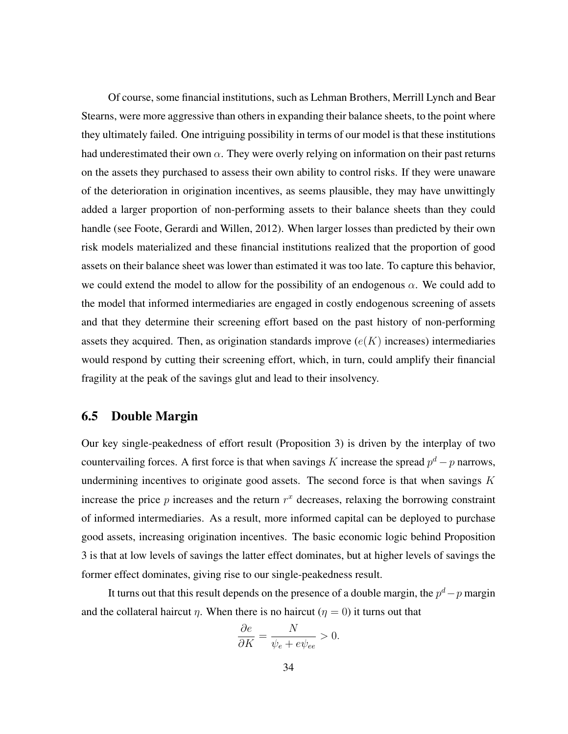Of course, some financial institutions, such as Lehman Brothers, Merrill Lynch and Bear Stearns, were more aggressive than others in expanding their balance sheets, to the point where they ultimately failed. One intriguing possibility in terms of our model is that these institutions had underestimated their own  $\alpha$ . They were overly relying on information on their past returns on the assets they purchased to assess their own ability to control risks. If they were unaware of the deterioration in origination incentives, as seems plausible, they may have unwittingly added a larger proportion of non-performing assets to their balance sheets than they could handle (see Foote, Gerardi and Willen, 2012). When larger losses than predicted by their own risk models materialized and these financial institutions realized that the proportion of good assets on their balance sheet was lower than estimated it was too late. To capture this behavior, we could extend the model to allow for the possibility of an endogenous  $\alpha$ . We could add to the model that informed intermediaries are engaged in costly endogenous screening of assets and that they determine their screening effort based on the past history of non-performing assets they acquired. Then, as origination standards improve  $(e(K))$  increases) intermediaries would respond by cutting their screening effort, which, in turn, could amplify their financial fragility at the peak of the savings glut and lead to their insolvency.

## 6.5 Double Margin

Our key single-peakedness of effort result (Proposition 3) is driven by the interplay of two countervailing forces. A first force is that when savings K increase the spread  $p^d - p$  narrows, undermining incentives to originate good assets. The second force is that when savings  $K$ increase the price  $p$  increases and the return  $r^x$  decreases, relaxing the borrowing constraint of informed intermediaries. As a result, more informed capital can be deployed to purchase good assets, increasing origination incentives. The basic economic logic behind Proposition 3 is that at low levels of savings the latter effect dominates, but at higher levels of savings the former effect dominates, giving rise to our single-peakedness result.

It turns out that this result depends on the presence of a double margin, the  $p^d-p$  margin and the collateral haircut  $\eta$ . When there is no haircut ( $\eta = 0$ ) it turns out that

$$
\frac{\partial e}{\partial K} = \frac{N}{\psi_e + e\psi_{ee}} > 0.
$$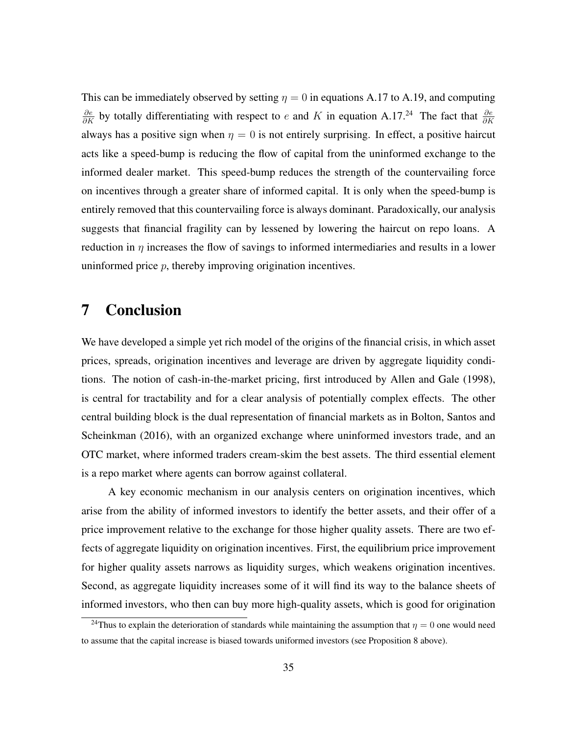This can be immediately observed by setting  $\eta = 0$  in equations A.17 to A.19, and computing  $\frac{\partial e}{\partial K}$  by totally differentiating with respect to e and K in equation A.17.<sup>24</sup> The fact that  $\frac{\partial e}{\partial K}$ always has a positive sign when  $\eta = 0$  is not entirely surprising. In effect, a positive haircut acts like a speed-bump is reducing the flow of capital from the uninformed exchange to the informed dealer market. This speed-bump reduces the strength of the countervailing force on incentives through a greater share of informed capital. It is only when the speed-bump is entirely removed that this countervailing force is always dominant. Paradoxically, our analysis suggests that financial fragility can by lessened by lowering the haircut on repo loans. A reduction in  $\eta$  increases the flow of savings to informed intermediaries and results in a lower uninformed price  $p$ , thereby improving origination incentives.

# 7 Conclusion

We have developed a simple yet rich model of the origins of the financial crisis, in which asset prices, spreads, origination incentives and leverage are driven by aggregate liquidity conditions. The notion of cash-in-the-market pricing, first introduced by Allen and Gale (1998), is central for tractability and for a clear analysis of potentially complex effects. The other central building block is the dual representation of financial markets as in Bolton, Santos and Scheinkman (2016), with an organized exchange where uninformed investors trade, and an OTC market, where informed traders cream-skim the best assets. The third essential element is a repo market where agents can borrow against collateral.

A key economic mechanism in our analysis centers on origination incentives, which arise from the ability of informed investors to identify the better assets, and their offer of a price improvement relative to the exchange for those higher quality assets. There are two effects of aggregate liquidity on origination incentives. First, the equilibrium price improvement for higher quality assets narrows as liquidity surges, which weakens origination incentives. Second, as aggregate liquidity increases some of it will find its way to the balance sheets of informed investors, who then can buy more high-quality assets, which is good for origination

<sup>&</sup>lt;sup>24</sup>Thus to explain the deterioration of standards while maintaining the assumption that  $\eta = 0$  one would need to assume that the capital increase is biased towards uniformed investors (see Proposition 8 above).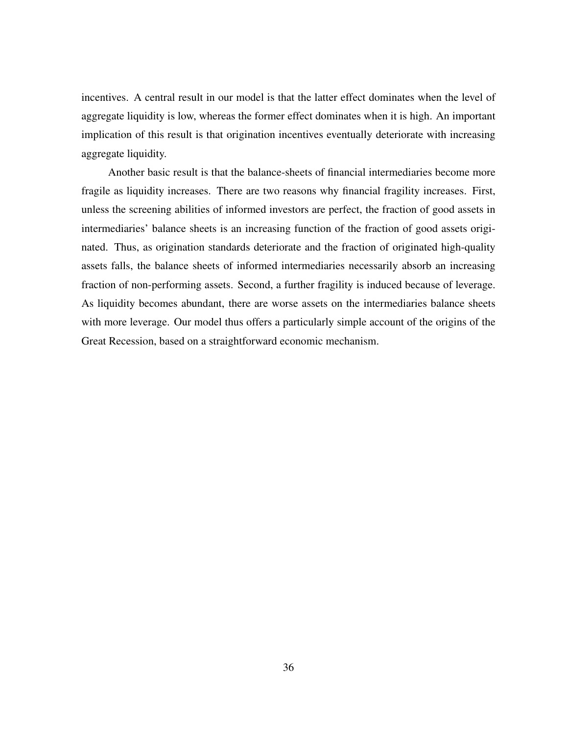incentives. A central result in our model is that the latter effect dominates when the level of aggregate liquidity is low, whereas the former effect dominates when it is high. An important implication of this result is that origination incentives eventually deteriorate with increasing aggregate liquidity.

Another basic result is that the balance-sheets of financial intermediaries become more fragile as liquidity increases. There are two reasons why financial fragility increases. First, unless the screening abilities of informed investors are perfect, the fraction of good assets in intermediaries' balance sheets is an increasing function of the fraction of good assets originated. Thus, as origination standards deteriorate and the fraction of originated high-quality assets falls, the balance sheets of informed intermediaries necessarily absorb an increasing fraction of non-performing assets. Second, a further fragility is induced because of leverage. As liquidity becomes abundant, there are worse assets on the intermediaries balance sheets with more leverage. Our model thus offers a particularly simple account of the origins of the Great Recession, based on a straightforward economic mechanism.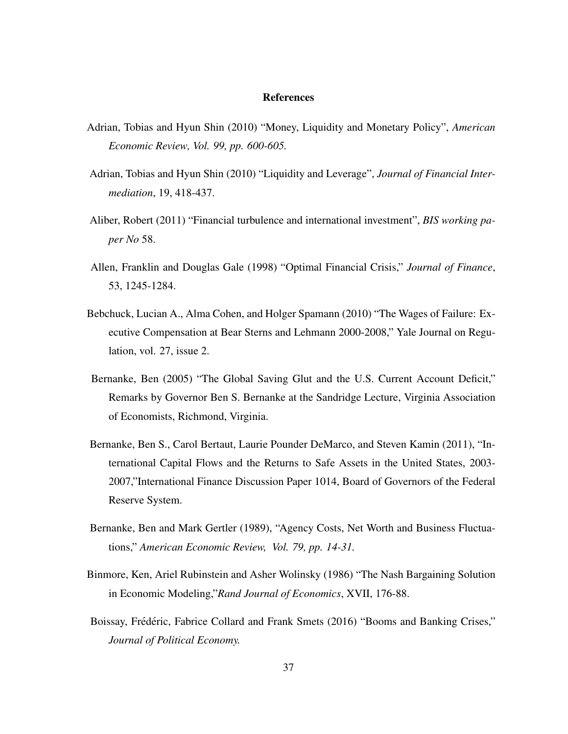#### References

- Adrian, Tobias and Hyun Shin (2010) "Money, Liquidity and Monetary Policy", *American Economic Review, Vol. 99, pp. 600-605.*
- Adrian, Tobias and Hyun Shin (2010) "Liquidity and Leverage", *Journal of Financial Intermediation*, 19, 418-437.
- Aliber, Robert (2011) "Financial turbulence and international investment", *BIS working paper No* 58.
- Allen, Franklin and Douglas Gale (1998) "Optimal Financial Crisis," *Journal of Finance*, 53, 1245-1284.
- Bebchuck, Lucian A., Alma Cohen, and Holger Spamann (2010) "The Wages of Failure: Executive Compensation at Bear Sterns and Lehmann 2000-2008," Yale Journal on Regulation, vol. 27, issue 2.
- Bernanke, Ben (2005) "The Global Saving Glut and the U.S. Current Account Deficit," Remarks by Governor Ben S. Bernanke at the Sandridge Lecture, Virginia Association of Economists, Richmond, Virginia.
- Bernanke, Ben S., Carol Bertaut, Laurie Pounder DeMarco, and Steven Kamin (2011), "International Capital Flows and the Returns to Safe Assets in the United States, 2003- 2007,"International Finance Discussion Paper 1014, Board of Governors of the Federal Reserve System.
- Bernanke, Ben and Mark Gertler (1989), "Agency Costs, Net Worth and Business Fluctuations," *American Economic Review, Vol. 79, pp. 14-31.*
- Binmore, Ken, Ariel Rubinstein and Asher Wolinsky (1986) "The Nash Bargaining Solution in Economic Modeling,"*Rand Journal of Economics*, XVII, 176-88.
- Boissay, Frédéric, Fabrice Collard and Frank Smets (2016) "Booms and Banking Crises," *Journal of Political Economy.*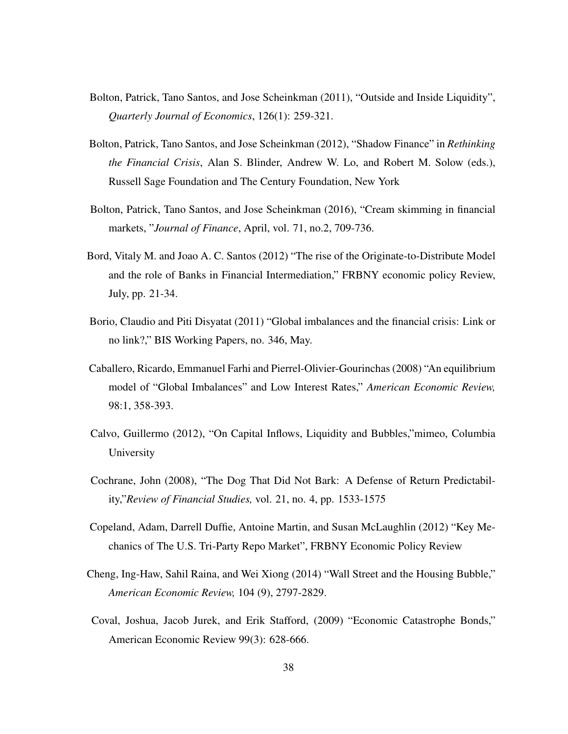- Bolton, Patrick, Tano Santos, and Jose Scheinkman (2011), "Outside and Inside Liquidity", *Quarterly Journal of Economics*, 126(1): 259-321.
- Bolton, Patrick, Tano Santos, and Jose Scheinkman (2012), "Shadow Finance" in *Rethinking the Financial Crisis*, Alan S. Blinder, Andrew W. Lo, and Robert M. Solow (eds.), Russell Sage Foundation and The Century Foundation, New York
- Bolton, Patrick, Tano Santos, and Jose Scheinkman (2016), "Cream skimming in financial markets, "*Journal of Finance*, April, vol. 71, no.2, 709-736.
- Bord, Vitaly M. and Joao A. C. Santos (2012) "The rise of the Originate-to-Distribute Model and the role of Banks in Financial Intermediation," FRBNY economic policy Review, July, pp. 21-34.
- Borio, Claudio and Piti Disyatat (2011) "Global imbalances and the financial crisis: Link or no link?," BIS Working Papers, no. 346, May.
- Caballero, Ricardo, Emmanuel Farhi and Pierrel-Olivier-Gourinchas (2008) "An equilibrium model of "Global Imbalances" and Low Interest Rates," *American Economic Review,* 98:1, 358-393.
- Calvo, Guillermo (2012), "On Capital Inflows, Liquidity and Bubbles,"mimeo, Columbia University
- Cochrane, John (2008), "The Dog That Did Not Bark: A Defense of Return Predictability,"*Review of Financial Studies,* vol. 21, no. 4, pp. 1533-1575
- Copeland, Adam, Darrell Duffie, Antoine Martin, and Susan McLaughlin (2012) "Key Mechanics of The U.S. Tri-Party Repo Market", FRBNY Economic Policy Review
- Cheng, Ing-Haw, Sahil Raina, and Wei Xiong (2014) "Wall Street and the Housing Bubble," *American Economic Review,* 104 (9), 2797-2829.
- Coval, Joshua, Jacob Jurek, and Erik Stafford, (2009) "Economic Catastrophe Bonds," American Economic Review 99(3): 628-666.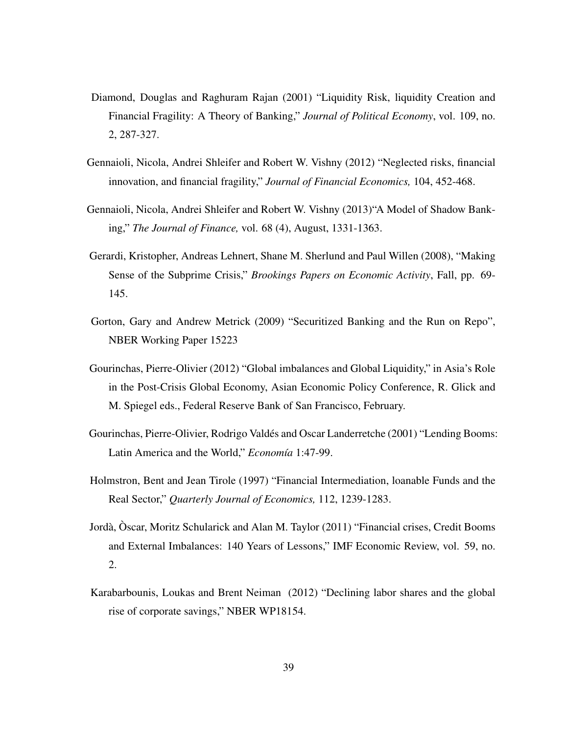- Diamond, Douglas and Raghuram Rajan (2001) "Liquidity Risk, liquidity Creation and Financial Fragility: A Theory of Banking," *Journal of Political Economy*, vol. 109, no. 2, 287-327.
- Gennaioli, Nicola, Andrei Shleifer and Robert W. Vishny (2012) "Neglected risks, financial innovation, and financial fragility," *Journal of Financial Economics,* 104, 452-468.
- Gennaioli, Nicola, Andrei Shleifer and Robert W. Vishny (2013)"A Model of Shadow Banking," *The Journal of Finance,* vol. 68 (4), August, 1331-1363.
- Gerardi, Kristopher, Andreas Lehnert, Shane M. Sherlund and Paul Willen (2008), "Making Sense of the Subprime Crisis," *Brookings Papers on Economic Activity*, Fall, pp. 69- 145.
- Gorton, Gary and Andrew Metrick (2009) "Securitized Banking and the Run on Repo", NBER Working Paper 15223
- Gourinchas, Pierre-Olivier (2012) "Global imbalances and Global Liquidity," in Asia's Role in the Post-Crisis Global Economy, Asian Economic Policy Conference, R. Glick and M. Spiegel eds., Federal Reserve Bank of San Francisco, February.
- Gourinchas, Pierre-Olivier, Rodrigo Valdés and Oscar Landerretche (2001) "Lending Booms: Latin America and the World," *Economía* 1:47-99.
- Holmstron, Bent and Jean Tirole (1997) "Financial Intermediation, loanable Funds and the Real Sector," *Quarterly Journal of Economics,* 112, 1239-1283.
- Jordà, Oscar, Moritz Schularick and Alan M. Taylor (2011) "Financial crises, Credit Booms and External Imbalances: 140 Years of Lessons," IMF Economic Review, vol. 59, no. 2.
- Karabarbounis, Loukas and Brent Neiman (2012) "Declining labor shares and the global rise of corporate savings," NBER WP18154.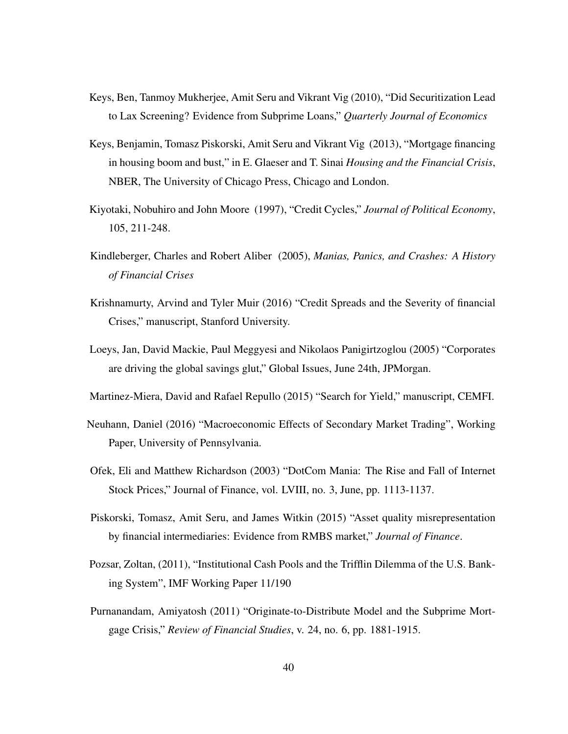- Keys, Ben, Tanmoy Mukherjee, Amit Seru and Vikrant Vig (2010), "Did Securitization Lead to Lax Screening? Evidence from Subprime Loans," *Quarterly Journal of Economics*
- Keys, Benjamin, Tomasz Piskorski, Amit Seru and Vikrant Vig (2013), "Mortgage financing in housing boom and bust," in E. Glaeser and T. Sinai *Housing and the Financial Crisis*, NBER, The University of Chicago Press, Chicago and London.
- Kiyotaki, Nobuhiro and John Moore (1997), "Credit Cycles," *Journal of Political Economy*, 105, 211-248.
- Kindleberger, Charles and Robert Aliber (2005), *Manias, Panics, and Crashes: A History of Financial Crises*
- Krishnamurty, Arvind and Tyler Muir (2016) "Credit Spreads and the Severity of financial Crises," manuscript, Stanford University.
- Loeys, Jan, David Mackie, Paul Meggyesi and Nikolaos Panigirtzoglou (2005) "Corporates are driving the global savings glut," Global Issues, June 24th, JPMorgan.
- Martinez-Miera, David and Rafael Repullo (2015) "Search for Yield," manuscript, CEMFI.
- Neuhann, Daniel (2016) "Macroeconomic Effects of Secondary Market Trading", Working Paper, University of Pennsylvania.
- Ofek, Eli and Matthew Richardson (2003) "DotCom Mania: The Rise and Fall of Internet Stock Prices," Journal of Finance, vol. LVIII, no. 3, June, pp. 1113-1137.
- Piskorski, Tomasz, Amit Seru, and James Witkin (2015) "Asset quality misrepresentation by financial intermediaries: Evidence from RMBS market," *Journal of Finance*.
- Pozsar, Zoltan, (2011), "Institutional Cash Pools and the Trifflin Dilemma of the U.S. Banking System", IMF Working Paper 11/190
- Purnanandam, Amiyatosh (2011) "Originate-to-Distribute Model and the Subprime Mortgage Crisis," *Review of Financial Studies*, v. 24, no. 6, pp. 1881-1915.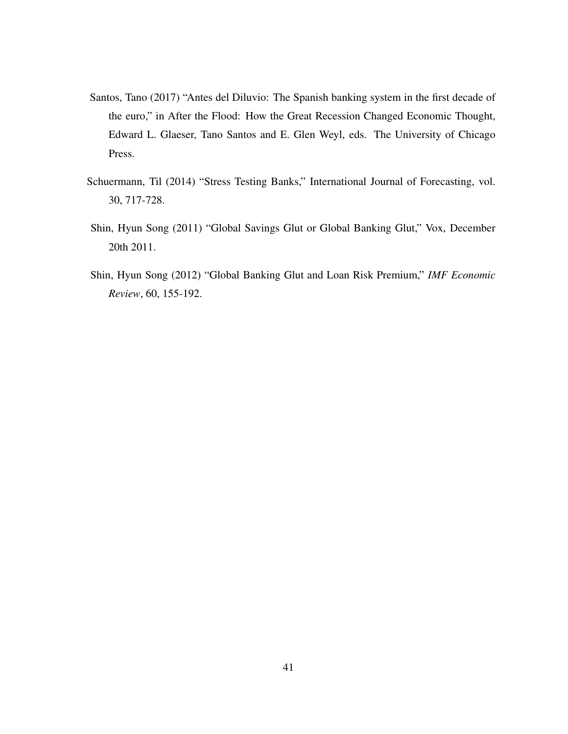- Santos, Tano (2017) "Antes del Diluvio: The Spanish banking system in the first decade of the euro," in After the Flood: How the Great Recession Changed Economic Thought, Edward L. Glaeser, Tano Santos and E. Glen Weyl, eds. The University of Chicago Press.
- Schuermann, Til (2014) "Stress Testing Banks," International Journal of Forecasting, vol. 30, 717-728.
- Shin, Hyun Song (2011) "Global Savings Glut or Global Banking Glut," Vox, December 20th 2011.
- Shin, Hyun Song (2012) "Global Banking Glut and Loan Risk Premium," *IMF Economic Review*, 60, 155-192.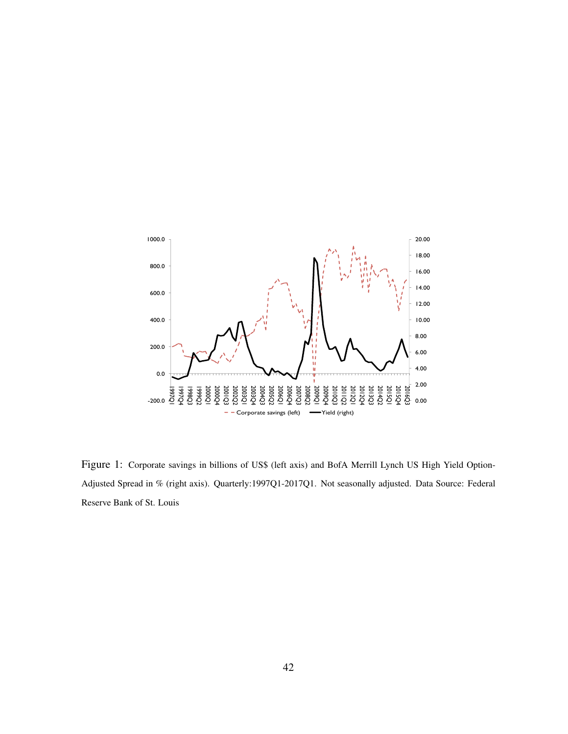

Figure 1: Corporate savings in billions of US\$ (left axis) and BofA Merrill Lynch US High Yield Option-Adjusted Spread in % (right axis). Quarterly:1997Q1-2017Q1. Not seasonally adjusted. Data Source: Federal Reserve Bank of St. Louis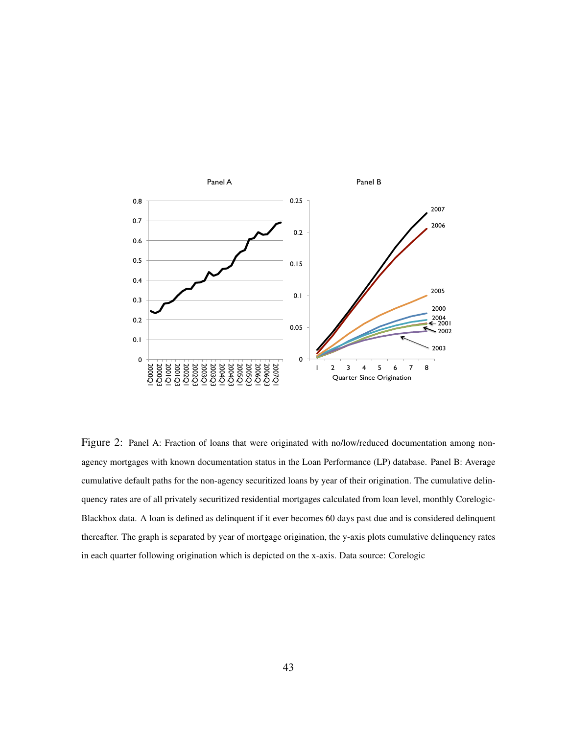

Figure 2: Panel A: Fraction of loans that were originated with no/low/reduced documentation among nonagency mortgages with known documentation status in the Loan Performance (LP) database. Panel B: Average cumulative default paths for the non-agency securitized loans by year of their origination. The cumulative delinquency rates are of all privately securitized residential mortgages calculated from loan level, monthly Corelogic-Blackbox data. A loan is defined as delinquent if it ever becomes 60 days past due and is considered delinquent thereafter. The graph is separated by year of mortgage origination, the y-axis plots cumulative delinquency rates in each quarter following origination which is depicted on the x-axis. Data source: Corelogic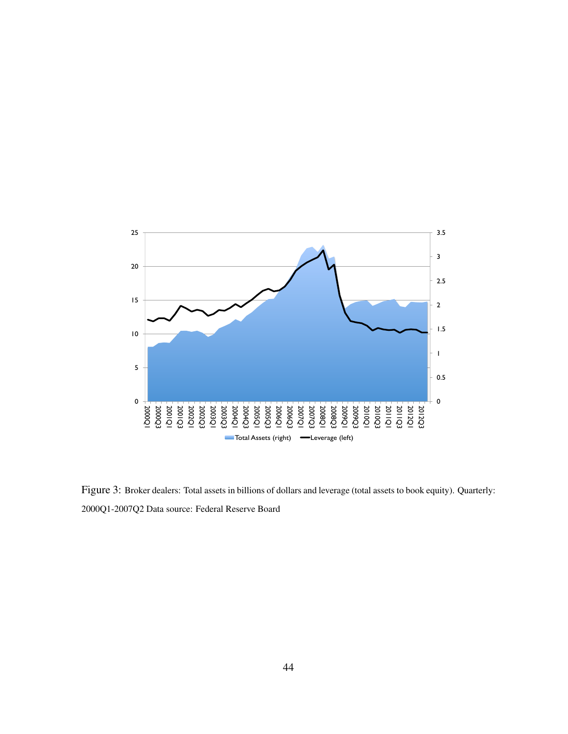

Figure 3: Broker dealers: Total assets in billions of dollars and leverage (total assets to book equity). Quarterly: 2000Q1-2007Q2 Data source: Federal Reserve Board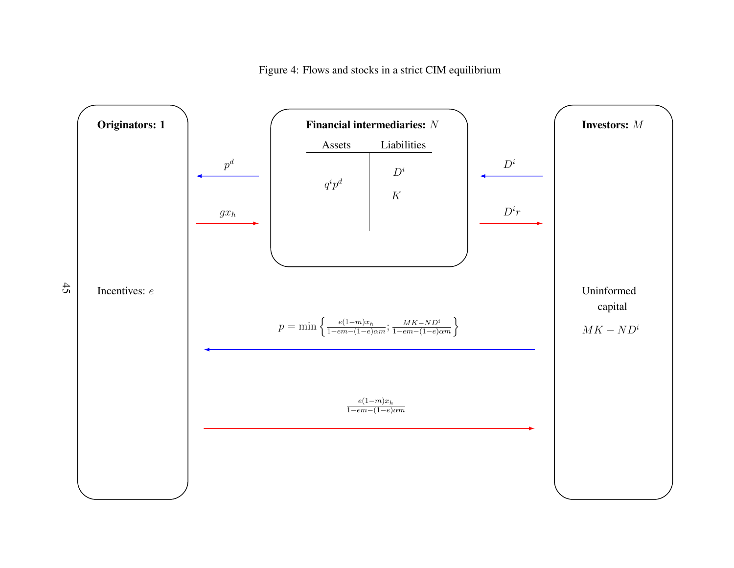Figure 4: Flows and stocks in <sup>a</sup> strict CIM equilibrium

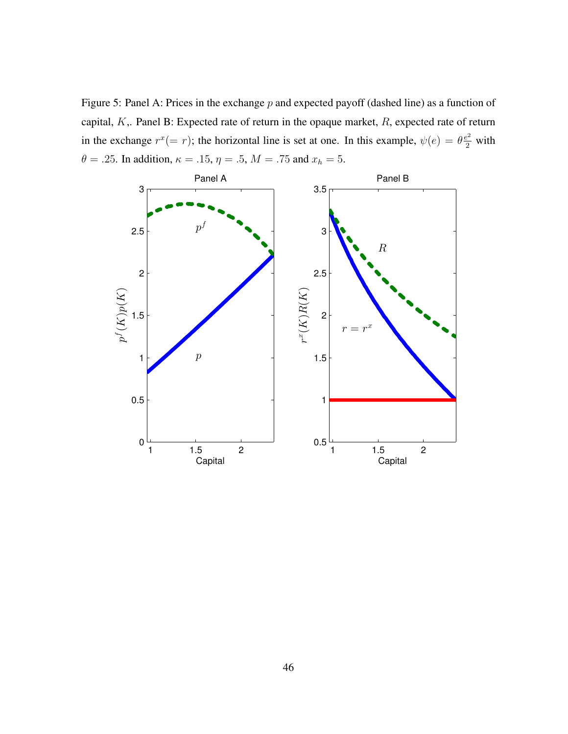Figure 5: Panel A: Prices in the exchange p and expected payoff (dashed line) as a function of capital,  $K$ ,. Panel B: Expected rate of return in the opaque market,  $R$ , expected rate of return in the exchange  $r^x (= r)$ ; the horizontal line is set at one. In this example,  $\psi(e) = \theta \frac{e^2}{2}$  with  $\theta = .25$ . In addition,  $\kappa = .15$ ,  $\eta = .5$ ,  $M = .75$  and  $x_h = 5$ .

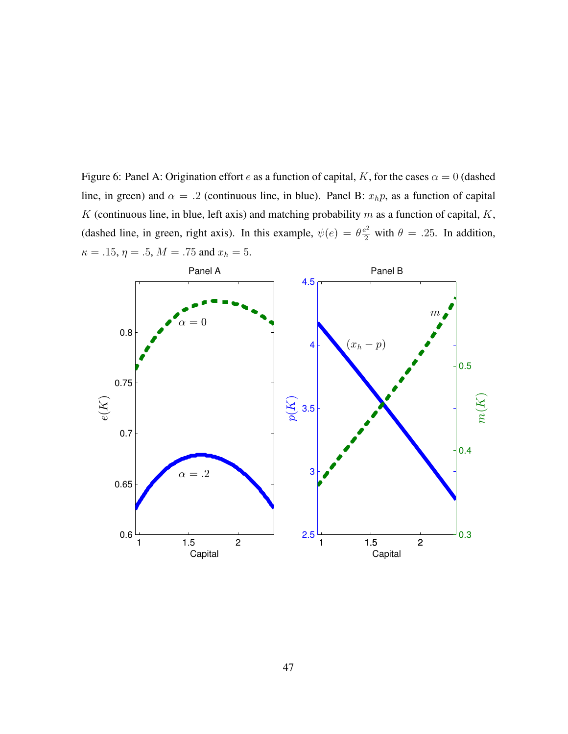Figure 6: Panel A: Origination effort e as a function of capital, K, for the cases  $\alpha = 0$  (dashed line, in green) and  $\alpha = .2$  (continuous line, in blue). Panel B:  $x_h p$ , as a function of capital K (continuous line, in blue, left axis) and matching probability  $m$  as a function of capital,  $K$ , (dashed line, in green, right axis). In this example,  $\psi(e) = \theta \frac{e^2}{2}$  with  $\theta = .25$ . In addition,  $\kappa = .15, \eta = .5, M = .75$  and  $x_h = 5$ .

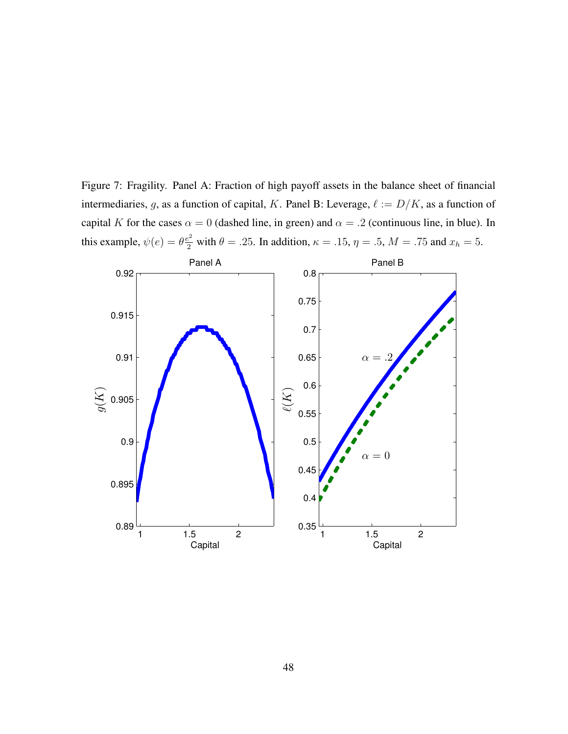Figure 7: Fragility. Panel A: Fraction of high payoff assets in the balance sheet of financial intermediaries, g, as a function of capital, K. Panel B: Leverage,  $\ell := D/K$ , as a function of capital K for the cases  $\alpha = 0$  (dashed line, in green) and  $\alpha = .2$  (continuous line, in blue). In this example,  $\psi(e) = \theta \frac{e^2}{2}$  with  $\theta = .25$ . In addition,  $\kappa = .15$ ,  $\eta = .5$ ,  $M = .75$  and  $x_h = 5$ .

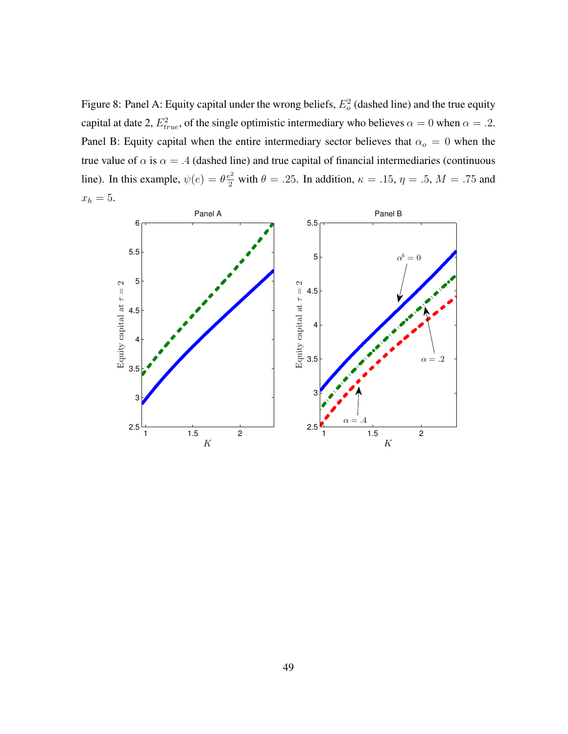Figure 8: Panel A: Equity capital under the wrong beliefs,  $E_o^2$  (dashed line) and the true equity capital at date 2,  $E_{true}^2$ , of the single optimistic intermediary who believes  $\alpha = 0$  when  $\alpha = .2$ . Panel B: Equity capital when the entire intermediary sector believes that  $\alpha_o = 0$  when the true value of  $\alpha$  is  $\alpha = .4$  (dashed line) and true capital of financial intermediaries (continuous line). In this example,  $\psi(e) = \theta \frac{e^2}{2}$  with  $\theta = .25$ . In addition,  $\kappa = .15$ ,  $\eta = .5$ ,  $M = .75$  and  $x_h = 5$ .

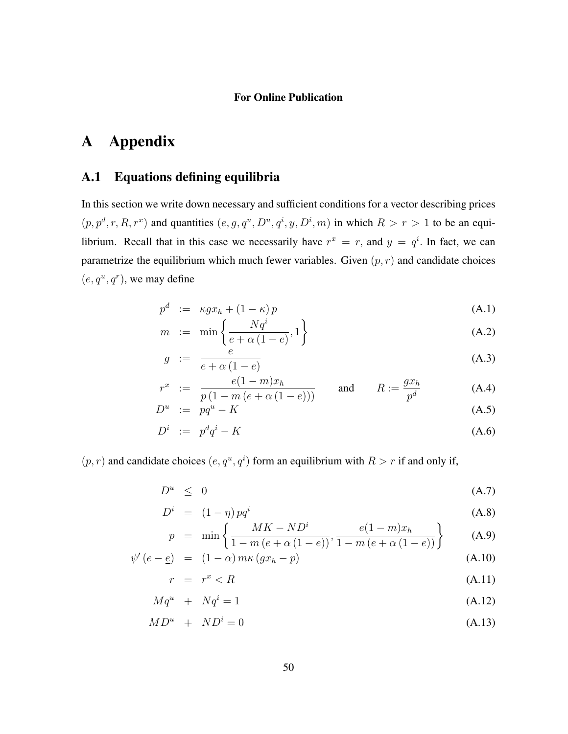### For Online Publication

# A Appendix

## A.1 Equations defining equilibria

In this section we write down necessary and sufficient conditions for a vector describing prices  $(p, p^d, r, R, r^x)$  and quantities  $(e, g, q^u, D^u, q^i, y, D^i, m)$  in which  $R > r > 1$  to be an equilibrium. Recall that in this case we necessarily have  $r^x = r$ , and  $y = q^i$ . In fact, we can parametrize the equilibrium which much fewer variables. Given  $(p, r)$  and candidate choices  $(e, q^u, q^r)$ , we may define

$$
p^d := \kappa gx_h + (1 - \kappa) p \tag{A.1}
$$

$$
m := \min\left\{\frac{Nq^{i}}{e + \alpha(1 - e)}, 1\right\} \tag{A.2}
$$

$$
g := \frac{e}{e + \alpha (1 - e)} \tag{A.3}
$$

$$
r^x := \frac{e(1-m)x_h}{p(1-m(e+\alpha(1-e)))}
$$
 and  $R := \frac{gx_h}{p^d}$  (A.4)

$$
D^u := pq^u - K \tag{A.5}
$$

$$
D^i := p^d q^i - K \tag{A.6}
$$

 $(p, r)$  and candidate choices  $(e, q^u, q^i)$  form an equilibrium with  $R > r$  if and only if,

$$
D^u \leq 0 \tag{A.7}
$$

$$
D^i = (1 - \eta) pq^i \tag{A.8}
$$

$$
p = \min\left\{\frac{MK - ND^{i}}{1 - m(e + \alpha(1 - e))}, \frac{e(1 - m)x_{h}}{1 - m(e + \alpha(1 - e))}\right\}
$$
 (A.9)

$$
\psi'(e - \underline{e}) = (1 - \alpha) m\kappa (gx_h - p) \tag{A.10}
$$

$$
r = r^x < R \tag{A.11}
$$

$$
Mq^u + Nq^i = 1 \tag{A.12}
$$

$$
MD^u + ND^i = 0 \tag{A.13}
$$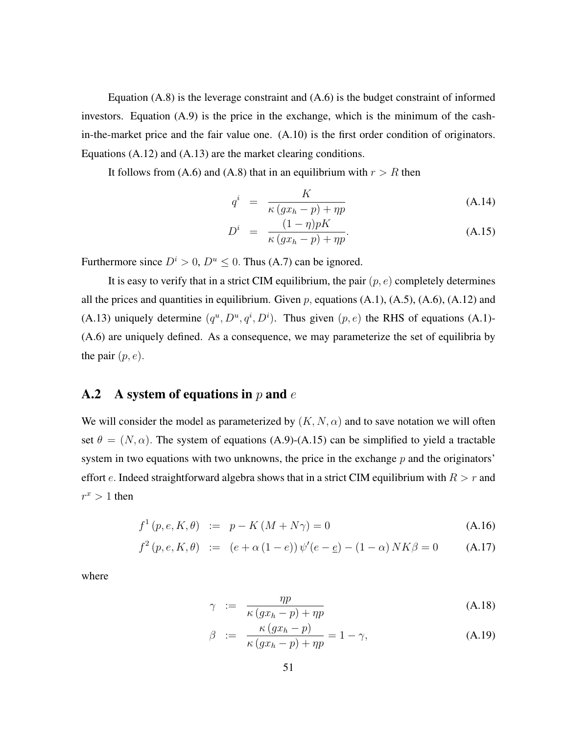Equation  $(A.8)$  is the leverage constraint and  $(A.6)$  is the budget constraint of informed investors. Equation (A.9) is the price in the exchange, which is the minimum of the cashin-the-market price and the fair value one. (A.10) is the first order condition of originators. Equations (A.12) and (A.13) are the market clearing conditions.

It follows from (A.6) and (A.8) that in an equilibrium with  $r > R$  then

$$
q^{i} = \frac{K}{\kappa \left(gx_{h} - p\right) + \eta p} \tag{A.14}
$$

$$
D^{i} = \frac{(1 - \eta)pK}{\kappa (gx_{h} - p) + \eta p}.
$$
 (A.15)

Furthermore since  $D^i > 0$ ,  $D^u \le 0$ . Thus (A.7) can be ignored.

It is easy to verify that in a strict CIM equilibrium, the pair  $(p, e)$  completely determines all the prices and quantities in equilibrium. Given  $p$ , equations  $(A.1)$ ,  $(A.5)$ ,  $(A.6)$ ,  $(A.12)$  and (A.13) uniquely determine  $(q^u, D^u, q^i, D^i)$ . Thus given  $(p, e)$  the RHS of equations (A.1)-(A.6) are uniquely defined. As a consequence, we may parameterize the set of equilibria by the pair  $(p, e)$ .

## A.2 A system of equations in  $p$  and  $e$

We will consider the model as parameterized by  $(K, N, \alpha)$  and to save notation we will often set  $\theta = (N, \alpha)$ . The system of equations (A.9)-(A.15) can be simplified to yield a tractable system in two equations with two unknowns, the price in the exchange  $p$  and the originators' effort e. Indeed straightforward algebra shows that in a strict CIM equilibrium with  $R > r$  and  $r^x > 1$  then

$$
f^{1}(p, e, K, \theta) := p - K(M + N\gamma) = 0
$$
\n(A.16)

$$
f^{2}(p, e, K, \theta) := (e + \alpha (1 - e)) \psi'(e - e) - (1 - \alpha) NK \beta = 0
$$
 (A.17)

where

$$
\gamma \quad := \quad \frac{\eta p}{\kappa \left(gx_h - p\right) + \eta p} \tag{A.18}
$$

$$
\beta := \frac{\kappa (gx_h - p)}{\kappa (gx_h - p) + \eta p} = 1 - \gamma,
$$
\n(A.19)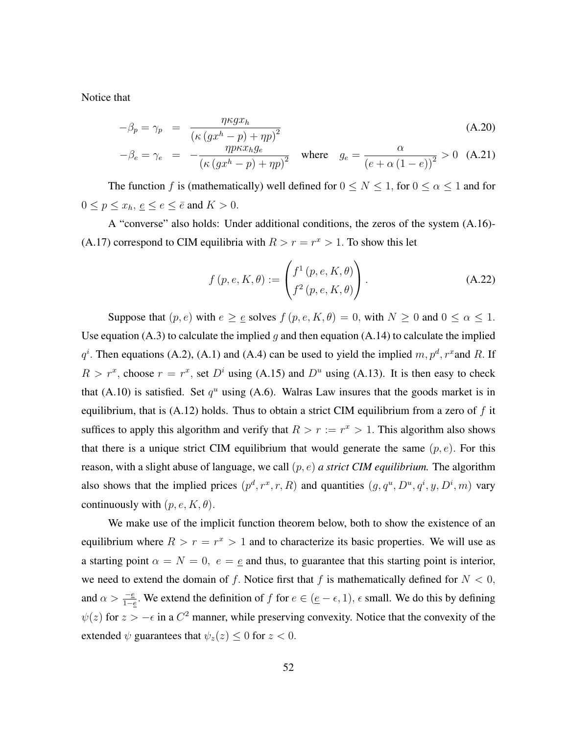Notice that

$$
-\beta_p = \gamma_p = \frac{\eta \kappa g x_h}{\left(\kappa \left(g x^h - p\right) + \eta p\right)^2} \tag{A.20}
$$

$$
-\beta_e = \gamma_e = -\frac{\eta p \kappa x_h g_e}{\left(\kappa \left(g x^h - p\right) + \eta p\right)^2} \quad \text{where} \quad g_e = \frac{\alpha}{\left(e + \alpha \left(1 - e\right)\right)^2} > 0 \quad \text{(A.21)}
$$

The function f is (mathematically) well defined for  $0 \le N \le 1$ , for  $0 \le \alpha \le 1$  and for  $0 \le p \le x_h, \underline{e} \le e \le \overline{e}$  and  $K > 0$ .

A "converse" also holds: Under additional conditions, the zeros of the system (A.16)- (A.17) correspond to CIM equilibria with  $R > r = r^x > 1$ . To show this let

$$
f(p, e, K, \theta) := \begin{pmatrix} f^1(p, e, K, \theta) \\ f^2(p, e, K, \theta) \end{pmatrix}.
$$
 (A.22)

Suppose that  $(p, e)$  with  $e \geq e$  solves  $f(p, e, K, \theta) = 0$ , with  $N \geq 0$  and  $0 \leq \alpha \leq 1$ . Use equation (A.3) to calculate the implied q and then equation (A.14) to calculate the implied  $q^i$ . Then equations (A.2), (A.1) and (A.4) can be used to yield the implied  $m, p^d, r^x$  and R. If  $R > r^x$ , choose  $r = r^x$ , set  $D^i$  using (A.15) and  $D^u$  using (A.13). It is then easy to check that (A.10) is satisfied. Set  $q^u$  using (A.6). Walras Law insures that the goods market is in equilibrium, that is  $(A.12)$  holds. Thus to obtain a strict CIM equilibrium from a zero of f it suffices to apply this algorithm and verify that  $R > r := r^x > 1$ . This algorithm also shows that there is a unique strict CIM equilibrium that would generate the same  $(p, e)$ . For this reason, with a slight abuse of language, we call  $(p, e)$  *a strict CIM equilibrium*. The algorithm also shows that the implied prices  $(p^d, r^x, r, R)$  and quantities  $(g, q^u, D^u, q^i, y, D^i, m)$  vary continuously with  $(p, e, K, \theta)$ .

We make use of the implicit function theorem below, both to show the existence of an equilibrium where  $R > r = r^x > 1$  and to characterize its basic properties. We will use as a starting point  $\alpha = N = 0$ ,  $e = e$  and thus, to guarantee that this starting point is interior, we need to extend the domain of f. Notice first that f is mathematically defined for  $N < 0$ , and  $\alpha > \frac{-e}{1-e}$ . We extend the definition of f for  $e \in (e - \epsilon, 1)$ ,  $\epsilon$  small. We do this by defining  $\psi(z)$  for  $z > -\epsilon$  in a  $C^2$  manner, while preserving convexity. Notice that the convexity of the extended  $\psi$  guarantees that  $\psi_z(z) \leq 0$  for  $z < 0$ .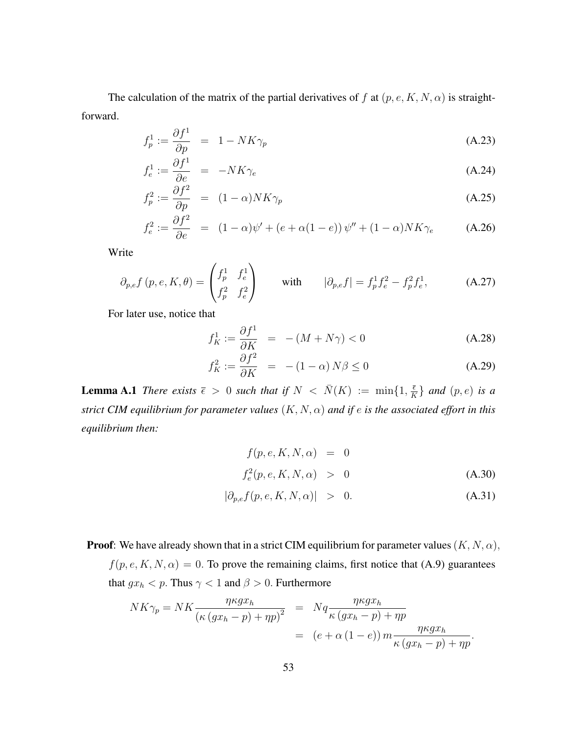The calculation of the matrix of the partial derivatives of f at  $(p, e, K, N, \alpha)$  is straightforward.

$$
f_p^1 := \frac{\partial f^1}{\partial p} = 1 - NK \gamma_p \tag{A.23}
$$

$$
f_e^1 := \frac{\partial f^1}{\partial e} = -NK\gamma_e \tag{A.24}
$$

$$
f_p^2 := \frac{\partial f^2}{\partial p} = (1 - \alpha) N K \gamma_p \tag{A.25}
$$

$$
f_e^2 := \frac{\partial f^2}{\partial e} = (1 - \alpha)\psi' + (e + \alpha(1 - e))\psi'' + (1 - \alpha)NK\gamma_e \tag{A.26}
$$

Write

$$
\partial_{p,e} f(p,e,K,\theta) = \begin{pmatrix} f_p^1 & f_e^1 \\ f_p^2 & f_e^2 \end{pmatrix} \quad \text{with} \quad |\partial_{p,e} f| = f_p^1 f_e^2 - f_p^2 f_e^1,\tag{A.27}
$$

For later use, notice that

$$
f_K^1 := \frac{\partial f^1}{\partial K} = -(M + N\gamma) < 0 \tag{A.28}
$$

$$
f_K^2 := \frac{\partial f^2}{\partial K} = -(1 - \alpha) N\beta \le 0
$$
 (A.29)

**Lemma A.1** *There exists*  $\bar{\epsilon} > 0$  *such that if*  $N < \bar{N}(K) := \min\{1, \frac{\bar{\epsilon}}{K}\}$  $\frac{\bar{\epsilon}}{K}$  *and*  $(p,e)$  *is a strict CIM equilibrium for parameter values* (K, N, α) *and if* e *is the associated effort in this equilibrium then:*

$$
f(p, e, K, N, \alpha) = 0
$$
  

$$
f_e^2(p, e, K, N, \alpha) > 0
$$
 (A.30)

$$
|\partial_{p,e} f(p,e,K,N,\alpha)| > 0. \tag{A.31}
$$

**Proof:** We have already shown that in a strict CIM equilibrium for parameter values  $(K, N, \alpha)$ ,  $f(p, e, K, N, \alpha) = 0$ . To prove the remaining claims, first notice that (A.9) guarantees that  $gx_h < p$ . Thus  $\gamma < 1$  and  $\beta > 0$ . Furthermore

$$
NK\gamma_p = NK \frac{\eta \kappa gx_h}{\left(\kappa \left(gx_h - p\right) + \eta p\right)^2} = Nq \frac{\eta \kappa gx_h}{\kappa \left(gx_h - p\right) + \eta p}
$$

$$
= \left(e + \alpha \left(1 - e\right)\right)m \frac{\eta \kappa gx_h}{\kappa \left(gx_h - p\right) + \eta p}.
$$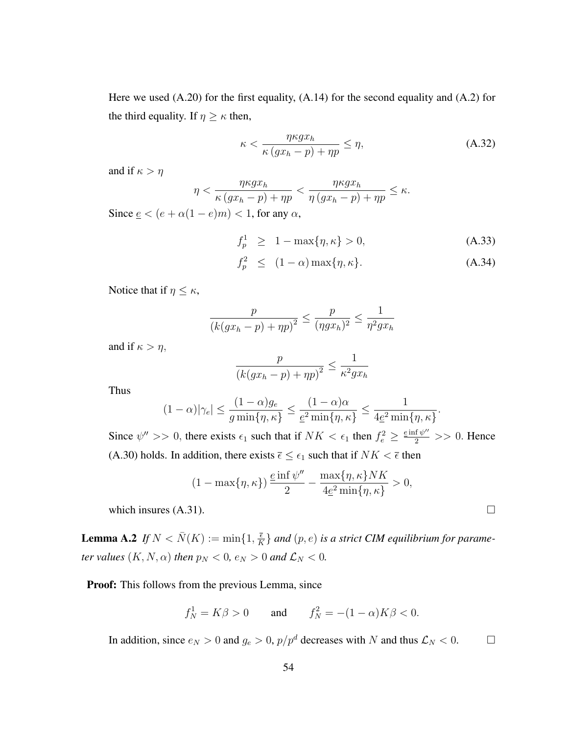Here we used (A.20) for the first equality, (A.14) for the second equality and (A.2) for the third equality. If  $\eta \geq \kappa$  then,

$$
\kappa < \frac{\eta \kappa g x_h}{\kappa \left( g x_h - p \right) + \eta p} \le \eta,\tag{A.32}
$$

and if  $\kappa > \eta$ 

$$
\eta < \frac{\eta \kappa g x_h}{\kappa \left(g x_h - p\right) + \eta p} < \frac{\eta \kappa g x_h}{\eta \left(g x_h - p\right) + \eta p} \le \kappa.
$$

Since  $\underline{e} < (e + \alpha(1 - e)m) < 1$ , for any  $\alpha$ ,

$$
f_p^1 \ge 1 - \max\{\eta, \kappa\} > 0,
$$
\n
$$
f_p^2 \le (1 - \alpha) \max\{\eta, \kappa\}.
$$
\n(A.34)

.

Notice that if  $\eta \leq \kappa$ ,

$$
\frac{p}{(k(gx_h - p) + \eta p)^2} \le \frac{p}{(\eta gx_h)^2} \le \frac{1}{\eta^2 gx_h}
$$

and if  $\kappa > \eta$ ,

$$
\frac{p}{(k(gx_h - p) + \eta p)^2} \le \frac{1}{\kappa^2 gx_h}
$$

Thus

$$
(1 - \alpha)|\gamma_e| \le \frac{(1 - \alpha)g_e}{g \min\{\eta, \kappa\}} \le \frac{(1 - \alpha)\alpha}{\underline{e}^2 \min\{\eta, \kappa\}} \le \frac{1}{4\underline{e}^2 \min\{\eta, \kappa\}}
$$

Since  $\psi'' >> 0$ , there exists  $\epsilon_1$  such that if  $NK < \epsilon_1$  then  $f_e^2 \ge \frac{\epsilon \inf \psi''}{2} >> 0$ . Hence (A.30) holds. In addition, there exists  $\overline{\epsilon} \leq \epsilon_1$  such that if  $NK < \overline{\epsilon}$  then

$$
(1 - \max{\lbrace \eta, \kappa \rbrace}) \frac{\underline{e} \inf \psi''}{2} - \frac{\max{\lbrace \eta, \kappa \rbrace} NK}{4\underline{e}^2 \min{\lbrace \eta, \kappa \rbrace}} > 0,
$$

which insures  $(A.31)$ .

**Lemma A.2** *If*  $N < \bar{N}(K) := \min\{1, \frac{\bar{e}}{K}\}$  $\{\frac{\overline{\epsilon}}{K}\}$  and  $(p,e)$  is a strict CIM equilibrium for parame*ter values*  $(K, N, \alpha)$  *then*  $p_N < 0$ *,*  $e_N > 0$  *and*  $\mathcal{L}_N < 0$ *.* 

**Proof:** This follows from the previous Lemma, since

$$
f_N^1 = K\beta > 0
$$
 and  $f_N^2 = -(1 - \alpha)K\beta < 0$ .

In addition, since  $e_N > 0$  and  $g_e > 0$ ,  $p/p^d$  decreases with N and thus  $\mathcal{L}_N < 0$ .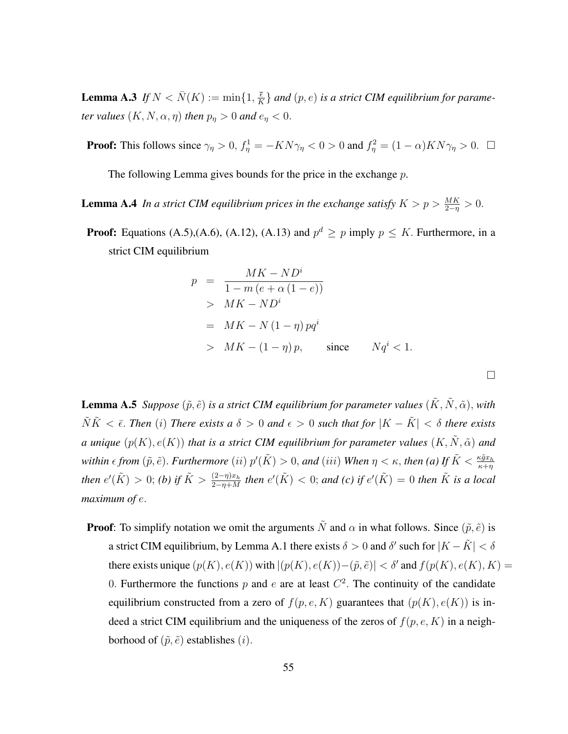**Lemma A.3** *If*  $N < \overline{N}(K) := \min\{1, \frac{\overline{e}}{K}\}$  $\{\frac{\overline{\epsilon}}{K}\}$  and  $(p,e)$  is a strict CIM equilibrium for parame*ter values*  $(K, N, \alpha, \eta)$  *then*  $p_{\eta} > 0$  *and*  $e_{\eta} < 0$ *.* 

**Proof:** This follows since  $\gamma_{\eta} > 0$ ,  $f_{\eta}^1 = -KN\gamma_{\eta} < 0 > 0$  and  $f_{\eta}^2 = (1 - \alpha)KN\gamma_{\eta} > 0$ .  $\Box$ 

The following Lemma gives bounds for the price in the exchange  $p$ .

**Lemma A.4** In a strict CIM equilibrium prices in the exchange satisfy  $K > p > \frac{MK}{2-\eta} > 0$ .

**Proof:** Equations (A.5),(A.6), (A.12), (A.13) and  $p^d \geq p$  imply  $p \leq K$ . Furthermore, in a strict CIM equilibrium

$$
p = \frac{MK - ND^{i}}{1 - m(e + \alpha(1 - e))}
$$
  
> MK - ND^{i}  
= MK - N (1 - \eta) pq^{i}  
> MK - (1 - \eta) p, since Nq^{i} < 1.

 $\Box$ 

**Lemma A.5** *Suppose*  $(\tilde{p}, \tilde{e})$  *is a strict CIM equilibrium for parameter values*  $(\tilde{K}, \tilde{N}, \tilde{\alpha})$ , *with*  $\tilde{N}\tilde{K} < \bar{\epsilon}$ . Then (i) There exists a  $\delta > 0$  and  $\epsilon > 0$  such that for  $|K - \tilde{K}| < \delta$  there exists *a unique*  $(p(K), e(K))$  *that is a strict CIM equilibrium for parameter values*  $(K, \tilde{N}, \tilde{\alpha})$  *and* within  $\epsilon$  from  $(\tilde{p}, \tilde{e})$ . Furthermore  $(ii)$   $p'(\tilde{K}) > 0$ , and  $(iii)$  When  $\eta < \kappa$ , then (a) If  $\tilde{K} < \frac{\kappa \tilde{g}x_h}{\kappa + \eta}$ then  $e'(\tilde{K}) > 0$ ; *(b)* if  $\tilde{K} > \frac{(2-\eta)x_h}{2-\eta+M}$  then  $e'(\tilde{K}) < 0$ ; and *(c)* if  $e'(\tilde{K}) = 0$  then  $\tilde{K}$  is a local *maximum of* e.

**Proof:** To simplify notation we omit the arguments  $\tilde{N}$  and  $\alpha$  in what follows. Since  $(\tilde{p}, \tilde{e})$  is a strict CIM equilibrium, by Lemma A.1 there exists  $\delta > 0$  and  $\delta'$  such for  $|K - \tilde{K}| < \delta$ there exists unique  $(p(K), e(K))$  with  $|(p(K), e(K)) - (\tilde{p}, \tilde{e})| < \delta'$  and  $f(p(K), e(K), K) =$ 0. Furthermore the functions p and e are at least  $C<sup>2</sup>$ . The continuity of the candidate equilibrium constructed from a zero of  $f(p, e, K)$  guarantees that  $(p(K), e(K))$  is indeed a strict CIM equilibrium and the uniqueness of the zeros of  $f(p, e, K)$  in a neighborhood of  $(\tilde{p}, \tilde{e})$  establishes  $(i)$ .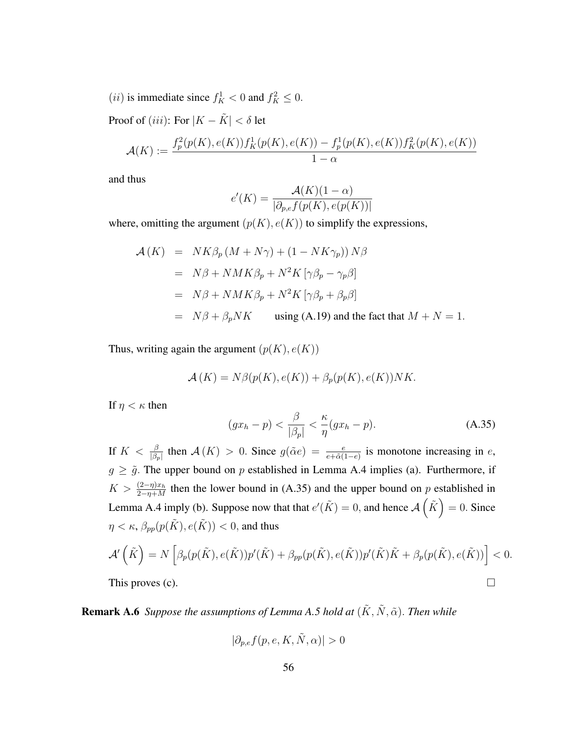(*ii*) is immediate since  $f_K^1 < 0$  and  $f_K^2 \leq 0$ .

Proof of  $(iii)$ : For  $|K - \tilde{K}| < \delta$  let

$$
\mathcal{A}(K) := \frac{f_p^2(p(K), e(K)) f_K^1(p(K), e(K)) - f_p^1(p(K), e(K)) f_K^2(p(K), e(K))}{1 - \alpha}
$$

and thus

$$
e'(K) = \frac{\mathcal{A}(K)(1-\alpha)}{|\partial_{p,e}f(p(K),e(p(K)))|}
$$

where, omitting the argument  $(p(K), e(K))$  to simplify the expressions,

$$
\mathcal{A}(K) = NK\beta_p(M + N\gamma) + (1 - NK\gamma_p))N\beta
$$
  
=  $N\beta + NMK\beta_p + N^2K[\gamma\beta_p - \gamma_p\beta]$   
=  $N\beta + NMK\beta_p + N^2K[\gamma\beta_p + \beta_p\beta]$   
=  $N\beta + \beta_p NK$  using (A.19) and the fact that  $M + N = 1$ .

Thus, writing again the argument  $(p(K), e(K))$ 

$$
\mathcal{A}(K) = N\beta(p(K), e(K)) + \beta_p(p(K), e(K))NK.
$$

If  $\eta < \kappa$  then

$$
(gx_h - p) < \frac{\beta}{|\beta_p|} < \frac{\kappa}{\eta}(gx_h - p). \tag{A.35}
$$

If  $K < \frac{\beta}{|\beta_P|}$  then  $\mathcal{A}(K) > 0$ . Since  $g(\tilde{\alpha}e) = \frac{e}{e + \tilde{\alpha}(1-e)}$  is monotone increasing in e,  $g \geq \tilde{g}$ . The upper bound on p established in Lemma A.4 implies (a). Furthermore, if  $K > \frac{(2-\eta)x_h}{2-\eta+M}$  then the lower bound in (A.35) and the upper bound on p established in Lemma A.4 imply (b). Suppose now that that  $e'(\tilde{K}) = 0$ , and hence  $\mathcal{A}(\tilde{K}) = 0$ . Since  $\eta < \kappa$ ,  $\beta_{pp}(p(\tilde{K}), e(\tilde{K})) < 0$ , and thus

$$
\mathcal{A}'(\tilde{K}) = N\left[\beta_p(p(\tilde{K}), e(\tilde{K}))p'(\tilde{K}) + \beta_{pp}(p(\tilde{K}), e(\tilde{K}))p'(\tilde{K})\tilde{K} + \beta_p(p(\tilde{K}), e(\tilde{K}))\right] < 0.
$$
  
This proves (c).

**Remark A.6** *Suppose the assumptions of Lemma A.5 hold at*  $(\tilde{K}, \tilde{N}, \tilde{\alpha})$ *. Then while* 

$$
|\partial_{p,e} f(p,e,K,\tilde{N},\alpha)| > 0
$$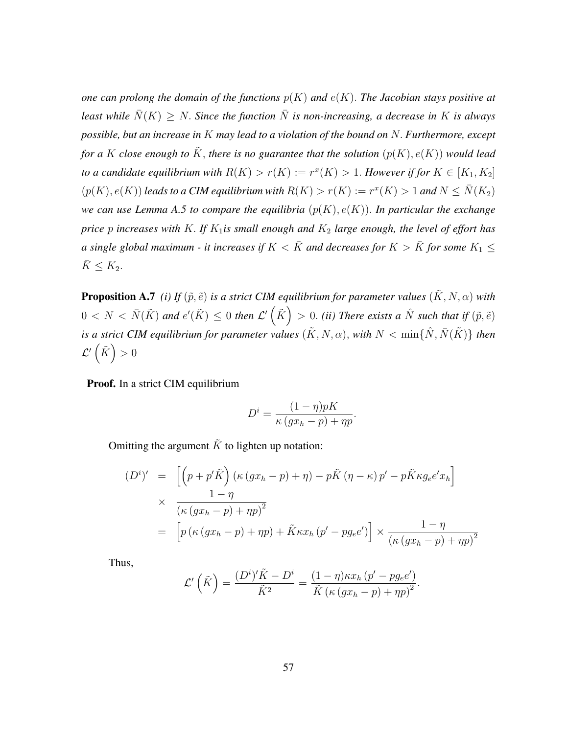*one can prolong the domain of the functions*  $p(K)$  *and*  $e(K)$ . *The Jacobian stays positive at least while*  $\bar{N}(K) \geq N$ . Since the function  $\bar{N}$  is non-increasing, a decrease in K is always *possible, but an increase in* K *may lead to a violation of the bound on* N. *Furthermore, except for a* K *close enough to*  $\tilde{K}$ , there is no guarantee that the solution  $(p(K), e(K))$  would lead *to a candidate equilibrium with*  $R(K) > r(K) := r^x(K) > 1$ . *However if for*  $K \in [K_1, K_2]$  $(p(K), e(K))$  *leads to a CIM equilibrium with*  $R(K) > r(K) := r^x(K) > 1$  and  $N \leq \overline{N}(K_2)$ *we can use Lemma A.5 to compare the equilibria*  $(p(K), e(K))$ *. In particular the exchange price* p *increases with*  $K$ . If  $K_1$ *is small enough and*  $K_2$  *large enough, the level of effort has a* single global maximum - it increases if  $K < \overline{K}$  and decreases for  $K > \overline{K}$  for some  $K_1 \leq$  $\bar{K} \leq K_2$ .

**Proposition A.7** *(i) If*  $(\tilde{p}, \tilde{e})$  *is a strict CIM equilibrium for parameter values*  $(\tilde{K}, N, \alpha)$  *with*  $0 < N < \bar{N}(\tilde{K})$  and  $e'(\tilde{K}) \le 0$  then  $\mathcal{L}'(\tilde{K}) > 0$ . (ii) There exists a  $\hat{N}$  such that if  $(\tilde{p}, \tilde{e})$ *is a strict CIM equilibrium for parameter values*  $(K, N, \alpha)$ , *with*  $N < \min\{\hat{N}, \bar{N}(\tilde{K})\}$  *then*  $\mathcal{L}^\prime\left(\tilde{K}\right) > 0$ 

Proof. In a strict CIM equilibrium

$$
D^{i} = \frac{(1 - \eta)pK}{\kappa (gx_h - p) + \eta p}.
$$

Omitting the argument  $\tilde{K}$  to lighten up notation:

$$
(D^i)' = \left[ \left( p + p'\tilde{K} \right) \left( \kappa \left( gx_h - p \right) + \eta \right) - p\tilde{K} \left( \eta - \kappa \right) p' - p\tilde{K}\kappa g_e e' x_h \right]
$$
  
\$\times\$ 
$$
\frac{1 - \eta}{\left( \kappa \left( gx_h - p \right) + \eta p \right)^2}
$$
  
\$\left[ p\left( \kappa \left( gx\_h - p \right) + \eta p \right) + \tilde{K}\kappa x\_h \left( p' - p g\_e e' \right) \right] \times \frac{1 - \eta}{\left( \kappa \left( gx\_h - p \right) + \eta p \right)^2}\$

Thus,

$$
\mathcal{L}'\left(\tilde{K}\right) = \frac{(D^i)'\tilde{K} - D^i}{\tilde{K}^2} = \frac{(1-\eta)\kappa x_h (p' - pg_e e')}{\tilde{K}(\kappa (gx_h - p) + \eta p)^2}.
$$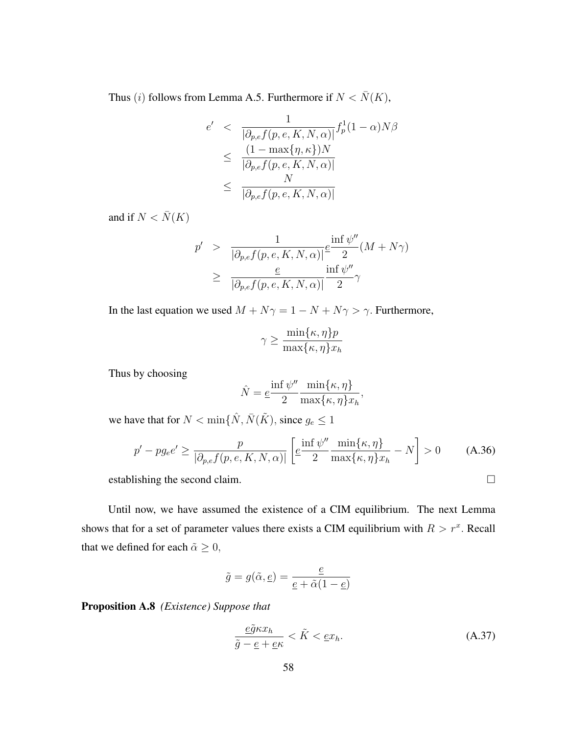Thus (i) follows from Lemma A.5. Furthermore if  $N < \overline{N}(K)$ ,

$$
e' < \frac{1}{|\partial_{p,e}f(p,e,K,N,\alpha)|}f_p^1(1-\alpha)N\beta
$$
  

$$
\leq \frac{(1-\max\{\eta,\kappa\})N}{|\partial_{p,e}f(p,e,K,N,\alpha)|}
$$
  

$$
\leq \frac{N}{|\partial_{p,e}f(p,e,K,N,\alpha)|}
$$

and if  $N < \overline{N}(K)$ 

$$
p' > \frac{1}{|\partial_{p,e} f(p,e,K,N,\alpha)|} e^{\frac{\inf \psi''}{2}} (M + N\gamma)
$$
  
 
$$
\geq \frac{e}{|\partial_{p,e} f(p,e,K,N,\alpha)|} \frac{\inf \psi''}{2} \gamma
$$

In the last equation we used  $M + N\gamma = 1 - N + N\gamma > \gamma$ . Furthermore,

$$
\gamma \ge \frac{\min\{\kappa, \eta\} p}{\max\{\kappa, \eta\} x_h}
$$

Thus by choosing

$$
\hat{N} = \underline{e} \frac{\inf \psi''}{2} \frac{\min\{\kappa, \eta\}}{\max\{\kappa, \eta\} x_h},
$$

we have that for  $N < \min\{\hat{N}, \bar{N}(\tilde{K}), \text{since } g_e \leq 1\}$ 

$$
p' - p g_e e' \ge \frac{p}{|\partial_{p,e} f(p,e,K,N,\alpha)|} \left[ e^{\frac{\inf \psi''}{2}} \frac{\min\{\kappa,\eta\}}{\max\{\kappa,\eta\} x_h} - N \right] > 0 \tag{A.36}
$$

establishing the second claim.

Until now, we have assumed the existence of a CIM equilibrium. The next Lemma shows that for a set of parameter values there exists a CIM equilibrium with  $R > r<sup>x</sup>$ . Recall that we defined for each  $\tilde{\alpha}\geq 0,$ 

$$
\tilde{g} = g(\tilde{\alpha}, \underline{e}) = \frac{\underline{e}}{\underline{e} + \tilde{\alpha}(1 - \underline{e})}
$$

Proposition A.8 *(Existence) Suppose that*

$$
\frac{\tilde{eg}\kappa x_h}{\tilde{g} - \underline{e} + \underline{e}\kappa} < \tilde{K} < \underline{ex}_h. \tag{A.37}
$$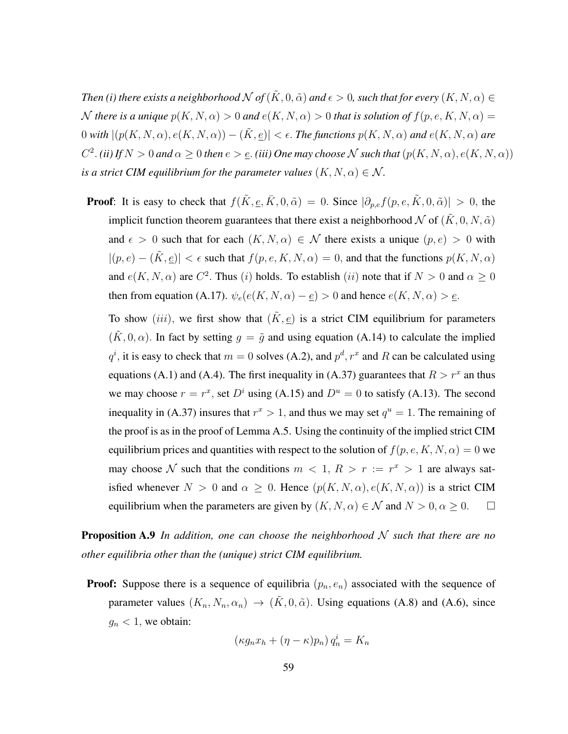*Then (i) there exists a neighborhood*  $N$  *of* ( $\tilde{K}$ , 0,  $\tilde{\alpha}$ ) *and*  $\epsilon > 0$ , *such that for every* ( $K, N, \alpha$ )  $\in$ N there is a unique  $p(K, N, \alpha) > 0$  and  $e(K, N, \alpha) > 0$  that is solution of  $f(p, e, K, N, \alpha) =$  $0$  *with*  $|(p(K, N, \alpha), e(K, N, \alpha)) - (\tilde{K}, \underline{e})| < \epsilon$ . *The functions*  $p(K, N, \alpha)$  *and*  $e(K, N, \alpha)$  *are* C<sup>2</sup>. *(ii)* If  $N > 0$  and  $\alpha \ge 0$  then  $e > e$ . *(iii)* One may choose N such that  $(p(K, N, \alpha), e(K, N, \alpha))$ *is a strict CIM equilibrium for the parameter values*  $(K, N, \alpha) \in \mathcal{N}$ *.* 

**Proof:** It is easy to check that  $f(\tilde{K}, \underline{e}, \bar{K}, 0, \tilde{\alpha}) = 0$ . Since  $|\partial_{p,\underline{e}} f(p, e, \tilde{K}, 0, \tilde{\alpha})| > 0$ , the implicit function theorem guarantees that there exist a neighborhood  $N$  of  $(\tilde{K}, 0, N, \tilde{\alpha})$ and  $\epsilon > 0$  such that for each  $(K, N, \alpha) \in \mathcal{N}$  there exists a unique  $(p, e) > 0$  with  $|(p, e) - (\tilde{K}, \underline{e})| < \epsilon$  such that  $f(p, e, K, N, \alpha) = 0$ , and that the functions  $p(K, N, \alpha)$ and  $e(K, N, \alpha)$  are  $C^2$ . Thus (i) holds. To establish (ii) note that if  $N > 0$  and  $\alpha \ge 0$ then from equation (A.17).  $\psi_e(e(K, N, \alpha) - \underline{e}) > 0$  and hence  $e(K, N, \alpha) > \underline{e}$ .

To show (iii), we first show that  $(K, \underline{e})$  is a strict CIM equilibrium for parameters  $(K, 0, \alpha)$ . In fact by setting  $g = \tilde{g}$  and using equation (A.14) to calculate the implied  $q^i$ , it is easy to check that  $m = 0$  solves (A.2), and  $p^d, r^x$  and R can be calculated using equations (A.1) and (A.4). The first inequality in (A.37) guarantees that  $R > r^x$  an thus we may choose  $r = r^x$ , set  $D^i$  using (A.15) and  $D^u = 0$  to satisfy (A.13). The second inequality in (A.37) insures that  $r^x > 1$ , and thus we may set  $q^u = 1$ . The remaining of the proof is as in the proof of Lemma A.5. Using the continuity of the implied strict CIM equilibrium prices and quantities with respect to the solution of  $f(p, e, K, N, \alpha) = 0$  we may choose N such that the conditions  $m < 1, R > r := r^x > 1$  are always satisfied whenever  $N > 0$  and  $\alpha \geq 0$ . Hence  $(p(K, N, \alpha), e(K, N, \alpha))$  is a strict CIM equilibrium when the parameters are given by  $(K, N, \alpha) \in \mathcal{N}$  and  $N > 0, \alpha \ge 0$ .  $\Box$ 

**Proposition A.9** *In addition, one can choose the neighborhood* N *such that there are no other equilibria other than the (unique) strict CIM equilibrium.*

**Proof:** Suppose there is a sequence of equilibria  $(p_n, e_n)$  associated with the sequence of parameter values  $(K_n, N_n, \alpha_n) \to (\tilde{K}, 0, \tilde{\alpha})$ . Using equations (A.8) and (A.6), since  $g_n < 1$ , we obtain:

$$
(\kappa g_n x_h + (\eta - \kappa) p_n) q_n^i = K_n
$$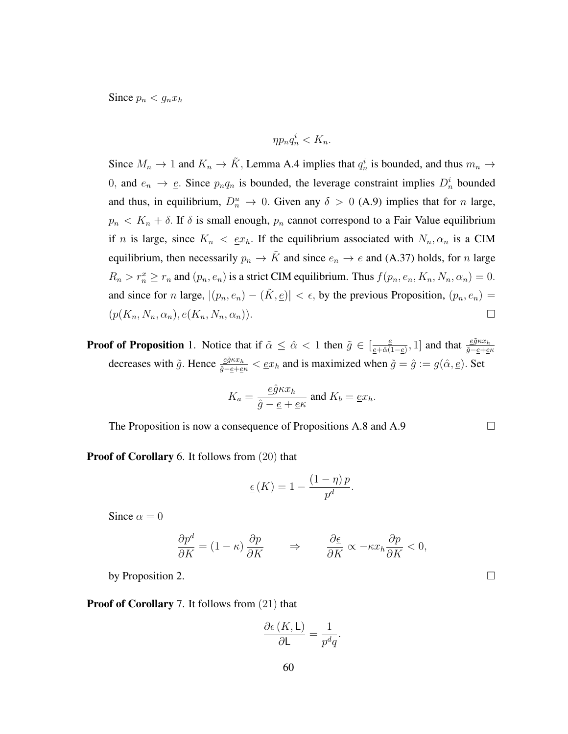Since  $p_n < g_n x_h$ 

$$
\eta p_n q_n^i < K_n.
$$

Since  $M_n \to 1$  and  $K_n \to \tilde{K}$ , Lemma A.4 implies that  $q_n^i$  is bounded, and thus  $m_n \to$ 0, and  $e_n \to \underline{e}$ . Since  $p_n q_n$  is bounded, the leverage constraint implies  $D_n^i$  bounded and thus, in equilibrium,  $D_n^u \to 0$ . Given any  $\delta > 0$  (A.9) implies that for n large,  $p_n < K_n + \delta$ . If  $\delta$  is small enough,  $p_n$  cannot correspond to a Fair Value equilibrium if n is large, since  $K_n < \underline{ex}_h$ . If the equilibrium associated with  $N_n, \alpha_n$  is a CIM equilibrium, then necessarily  $p_n \to \tilde{K}$  and since  $e_n \to \underline{e}$  and (A.37) holds, for n large  $R_n > r_n^x \ge r_n$  and  $(p_n, e_n)$  is a strict CIM equilibrium. Thus  $f(p_n, e_n, K_n, N_n, \alpha_n) = 0$ . and since for n large,  $|(p_n, e_n) - (\tilde{K}, \underline{e})| < \epsilon$ , by the previous Proposition,  $(p_n, e_n)$  $(p(K_n, N_n, \alpha_n), e(K_n, N_n, \alpha_n)).$ 

**Proof of Proposition** 1. Notice that if  $\tilde{\alpha} \leq \hat{\alpha} < 1$  then  $\tilde{g} \in \left[\frac{e}{e + \hat{\alpha}(\tilde{\alpha})}\right]$  $\frac{e}{e+\hat{\alpha}(1-e)}, 1]$  and that  $\frac{e\tilde{g}\kappa x_h}{\tilde{g}-e+e\kappa}$ decreases with  $\tilde{g}$ . Hence  $\frac{e\tilde{g}\kappa x_h}{\tilde{g}-e+e\kappa} < e x_h$  and is maximized when  $\tilde{g} = \hat{g} := g(\hat{\alpha}, \underline{e})$ . Set

$$
K_a = \frac{e\hat{g}\kappa x_h}{\hat{g} - \underline{e} + \underline{e}\kappa}
$$
 and 
$$
K_b = \underline{e}x_h.
$$

The Proposition is now a consequence of Propositions A.8 and A.9

Proof of Corollary 6. It follows from  $(20)$  that

$$
\underline{\epsilon}(K) = 1 - \frac{(1 - \eta)p}{p^d}.
$$

Since  $\alpha = 0$ 

$$
\frac{\partial p^d}{\partial K} = (1 - \kappa) \frac{\partial p}{\partial K} \qquad \Rightarrow \qquad \frac{\partial \underline{\epsilon}}{\partial K} \propto -\kappa x_h \frac{\partial p}{\partial K} < 0,
$$

by Proposition 2.  $\Box$ 

Proof of Corollary 7. It follows from  $(21)$  that

$$
\frac{\partial \epsilon(K, L)}{\partial L} = \frac{1}{p^d q}.
$$